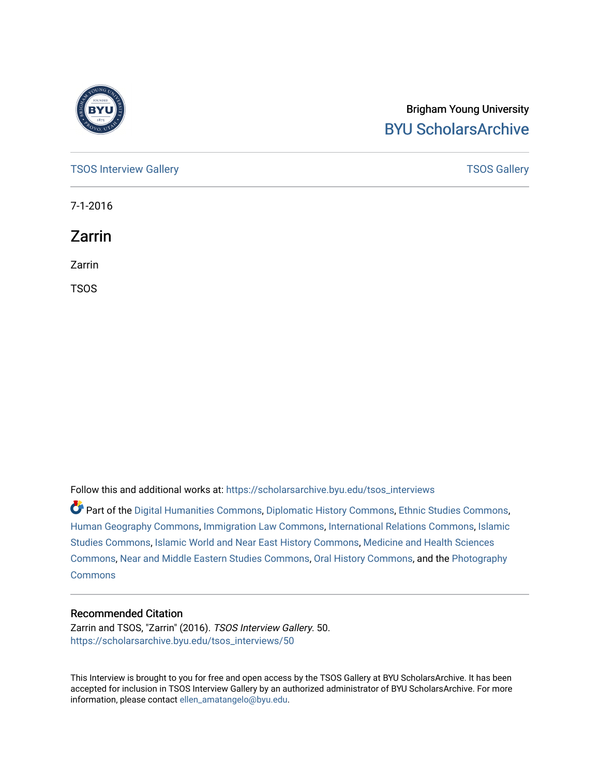

# Brigham Young University [BYU ScholarsArchive](https://scholarsarchive.byu.edu/)

[TSOS Interview Gallery](https://scholarsarchive.byu.edu/tsos_interviews) **TSOS** Gallery

7-1-2016

Zarrin

Zarrin

TSOS

Follow this and additional works at: [https://scholarsarchive.byu.edu/tsos\\_interviews](https://scholarsarchive.byu.edu/tsos_interviews?utm_source=scholarsarchive.byu.edu%2Ftsos_interviews%2F50&utm_medium=PDF&utm_campaign=PDFCoverPages) 

Part of the [Digital Humanities Commons](http://network.bepress.com/hgg/discipline/1286?utm_source=scholarsarchive.byu.edu%2Ftsos_interviews%2F50&utm_medium=PDF&utm_campaign=PDFCoverPages), [Diplomatic History Commons,](http://network.bepress.com/hgg/discipline/497?utm_source=scholarsarchive.byu.edu%2Ftsos_interviews%2F50&utm_medium=PDF&utm_campaign=PDFCoverPages) [Ethnic Studies Commons,](http://network.bepress.com/hgg/discipline/570?utm_source=scholarsarchive.byu.edu%2Ftsos_interviews%2F50&utm_medium=PDF&utm_campaign=PDFCoverPages) [Human Geography Commons](http://network.bepress.com/hgg/discipline/356?utm_source=scholarsarchive.byu.edu%2Ftsos_interviews%2F50&utm_medium=PDF&utm_campaign=PDFCoverPages), [Immigration Law Commons](http://network.bepress.com/hgg/discipline/604?utm_source=scholarsarchive.byu.edu%2Ftsos_interviews%2F50&utm_medium=PDF&utm_campaign=PDFCoverPages), [International Relations Commons,](http://network.bepress.com/hgg/discipline/389?utm_source=scholarsarchive.byu.edu%2Ftsos_interviews%2F50&utm_medium=PDF&utm_campaign=PDFCoverPages) [Islamic](http://network.bepress.com/hgg/discipline/1346?utm_source=scholarsarchive.byu.edu%2Ftsos_interviews%2F50&utm_medium=PDF&utm_campaign=PDFCoverPages) [Studies Commons,](http://network.bepress.com/hgg/discipline/1346?utm_source=scholarsarchive.byu.edu%2Ftsos_interviews%2F50&utm_medium=PDF&utm_campaign=PDFCoverPages) [Islamic World and Near East History Commons](http://network.bepress.com/hgg/discipline/493?utm_source=scholarsarchive.byu.edu%2Ftsos_interviews%2F50&utm_medium=PDF&utm_campaign=PDFCoverPages), [Medicine and Health Sciences](http://network.bepress.com/hgg/discipline/648?utm_source=scholarsarchive.byu.edu%2Ftsos_interviews%2F50&utm_medium=PDF&utm_campaign=PDFCoverPages)  [Commons](http://network.bepress.com/hgg/discipline/648?utm_source=scholarsarchive.byu.edu%2Ftsos_interviews%2F50&utm_medium=PDF&utm_campaign=PDFCoverPages), [Near and Middle Eastern Studies Commons](http://network.bepress.com/hgg/discipline/1308?utm_source=scholarsarchive.byu.edu%2Ftsos_interviews%2F50&utm_medium=PDF&utm_campaign=PDFCoverPages), [Oral History Commons](http://network.bepress.com/hgg/discipline/1195?utm_source=scholarsarchive.byu.edu%2Ftsos_interviews%2F50&utm_medium=PDF&utm_campaign=PDFCoverPages), and the [Photography](http://network.bepress.com/hgg/discipline/1142?utm_source=scholarsarchive.byu.edu%2Ftsos_interviews%2F50&utm_medium=PDF&utm_campaign=PDFCoverPages)  **[Commons](http://network.bepress.com/hgg/discipline/1142?utm_source=scholarsarchive.byu.edu%2Ftsos_interviews%2F50&utm_medium=PDF&utm_campaign=PDFCoverPages)** 

#### Recommended Citation

Zarrin and TSOS, "Zarrin" (2016). TSOS Interview Gallery. 50. [https://scholarsarchive.byu.edu/tsos\\_interviews/50](https://scholarsarchive.byu.edu/tsos_interviews/50?utm_source=scholarsarchive.byu.edu%2Ftsos_interviews%2F50&utm_medium=PDF&utm_campaign=PDFCoverPages)

This Interview is brought to you for free and open access by the TSOS Gallery at BYU ScholarsArchive. It has been accepted for inclusion in TSOS Interview Gallery by an authorized administrator of BYU ScholarsArchive. For more information, please contact [ellen\\_amatangelo@byu.edu.](mailto:ellen_amatangelo@byu.edu)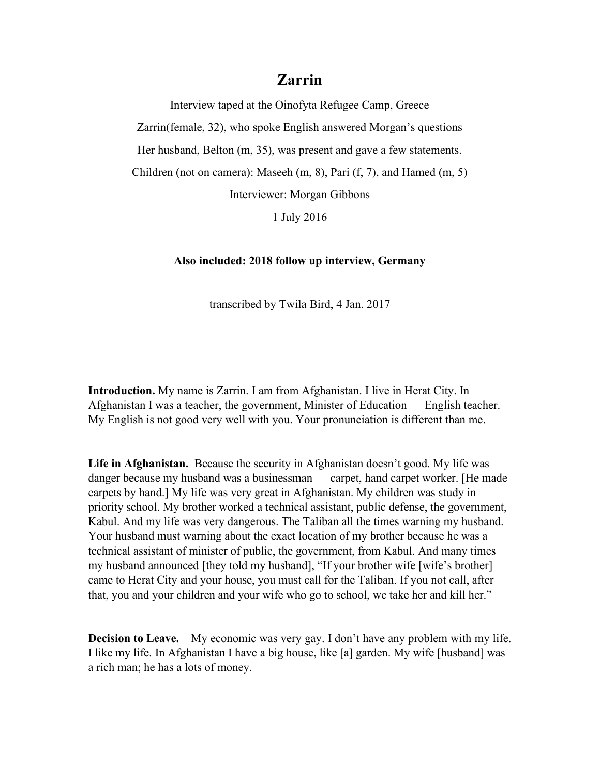Interview taped at the Oinofyta Refugee Camp, Greece

Zarrin(female, 32), who spoke English answered Morgan's questions

Her husband, Belton (m, 35), was present and gave a few statements.

Children (not on camera): Maseeh (m, 8), Pari (f, 7), and Hamed (m, 5)

Interviewer: Morgan Gibbons

1 July 2016

#### **Also included: 2018 follow up interview, Germany**

transcribed by Twila Bird, 4 Jan. 2017

**Introduction.** My name is Zarrin. I am from Afghanistan. I live in Herat City. In Afghanistan I was a teacher, the government, Minister of Education — English teacher. My English is not good very well with you. Your pronunciation is different than me.

**Life in Afghanistan.** Because the security in Afghanistan doesn't good. My life was danger because my husband was a businessman — carpet, hand carpet worker. [He made carpets by hand.] My life was very great in Afghanistan. My children was study in priority school. My brother worked a technical assistant, public defense, the government, Kabul. And my life was very dangerous. The Taliban all the times warning my husband. Your husband must warning about the exact location of my brother because he was a technical assistant of minister of public, the government, from Kabul. And many times my husband announced [they told my husband], "If your brother wife [wife's brother] came to Herat City and your house, you must call for the Taliban. If you not call, after that, you and your children and your wife who go to school, we take her and kill her."

**Decision to Leave.** My economic was very gay. I don't have any problem with my life. I like my life. In Afghanistan I have a big house, like [a] garden. My wife [husband] was a rich man; he has a lots of money.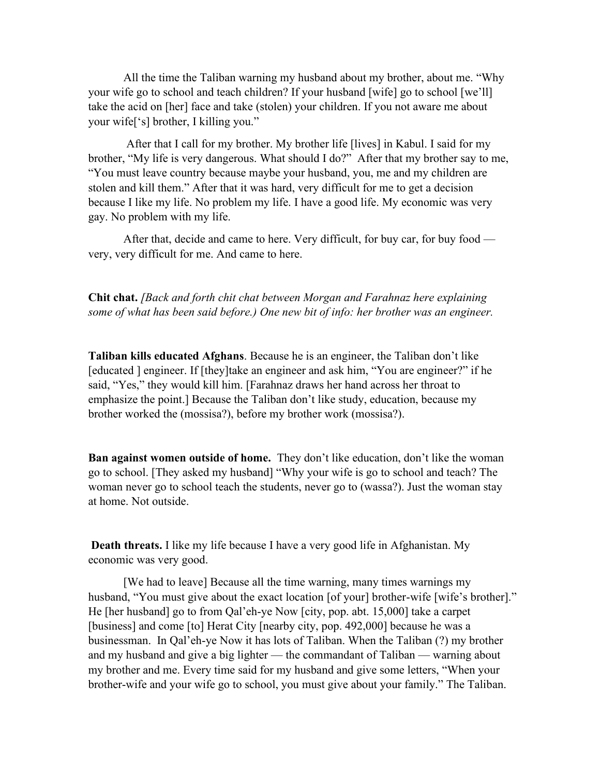All the time the Taliban warning my husband about my brother, about me. "Why your wife go to school and teach children? If your husband [wife] go to school [we'll] take the acid on [her] face and take (stolen) your children. If you not aware me about your wife['s] brother, I killing you."

After that I call for my brother. My brother life [lives] in Kabul. I said for my brother, "My life is very dangerous. What should I do?" After that my brother say to me, "You must leave country because maybe your husband, you, me and my children are stolen and kill them." After that it was hard, very difficult for me to get a decision because I like my life. No problem my life. I have a good life. My economic was very gay. No problem with my life.

After that, decide and came to here. Very difficult, for buy car, for buy food very, very difficult for me. And came to here.

**Chit chat.** *[Back and forth chit chat between Morgan and Farahnaz here explaining some of what has been said before.) One new bit of info: her brother was an engineer.*

**Taliban kills educated Afghans**. Because he is an engineer, the Taliban don't like [educated ] engineer. If [they]take an engineer and ask him, "You are engineer?" if he said, "Yes," they would kill him. [Farahnaz draws her hand across her throat to emphasize the point.] Because the Taliban don't like study, education, because my brother worked the (mossisa?), before my brother work (mossisa?).

**Ban against women outside of home.** They don't like education, don't like the woman go to school. [They asked my husband] "Why your wife is go to school and teach? The woman never go to school teach the students, never go to (wassa?). Just the woman stay at home. Not outside.

**Death threats.** I like my life because I have a very good life in Afghanistan. My economic was very good.

[We had to leave] Because all the time warning, many times warnings my husband, "You must give about the exact location [of your] brother-wife [wife's brother]." He [her husband] go to from Qal'eh-ye Now [city, pop. abt. 15,000] take a carpet [business] and come [to] Herat City [nearby city, pop. 492,000] because he was a businessman. In Qal'eh-ye Now it has lots of Taliban. When the Taliban (?) my brother and my husband and give a big lighter — the commandant of Taliban — warning about my brother and me. Every time said for my husband and give some letters, "When your brother-wife and your wife go to school, you must give about your family." The Taliban.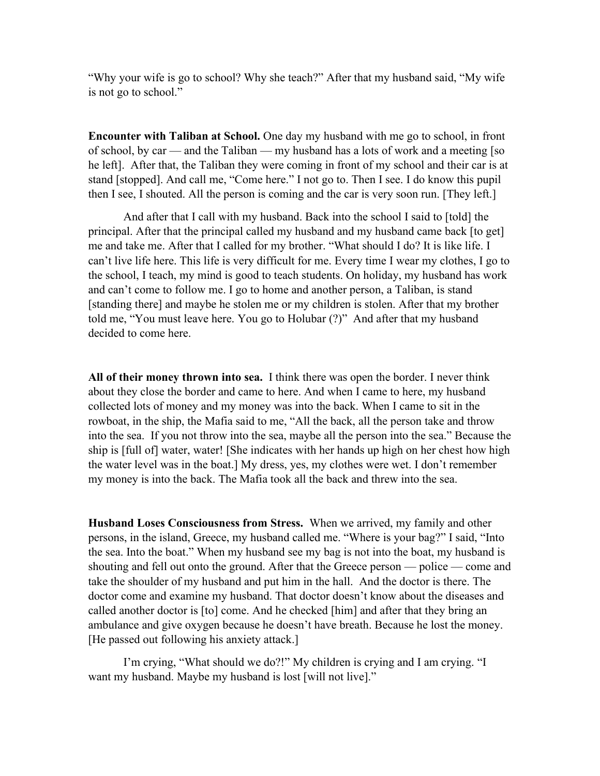"Why your wife is go to school? Why she teach?" After that my husband said, "My wife is not go to school."

**Encounter with Taliban at School.** One day my husband with me go to school, in front of school, by car — and the Taliban — my husband has a lots of work and a meeting [so he left]. After that, the Taliban they were coming in front of my school and their car is at stand [stopped]. And call me, "Come here." I not go to. Then I see. I do know this pupil then I see, I shouted. All the person is coming and the car is very soon run. [They left.]

And after that I call with my husband. Back into the school I said to [told] the principal. After that the principal called my husband and my husband came back [to get] me and take me. After that I called for my brother. "What should I do? It is like life. I can't live life here. This life is very difficult for me. Every time I wear my clothes, I go to the school, I teach, my mind is good to teach students. On holiday, my husband has work and can't come to follow me. I go to home and another person, a Taliban, is stand [standing there] and maybe he stolen me or my children is stolen. After that my brother told me, "You must leave here. You go to Holubar (?)" And after that my husband decided to come here.

**All of their money thrown into sea.** I think there was open the border. I never think about they close the border and came to here. And when I came to here, my husband collected lots of money and my money was into the back. When I came to sit in the rowboat, in the ship, the Mafia said to me, "All the back, all the person take and throw into the sea. If you not throw into the sea, maybe all the person into the sea." Because the ship is [full of] water, water! [She indicates with her hands up high on her chest how high the water level was in the boat.] My dress, yes, my clothes were wet. I don't remember my money is into the back. The Mafia took all the back and threw into the sea.

**Husband Loses Consciousness from Stress.** When we arrived, my family and other persons, in the island, Greece, my husband called me. "Where is your bag?" I said, "Into the sea. Into the boat." When my husband see my bag is not into the boat, my husband is shouting and fell out onto the ground. After that the Greece person — police — come and take the shoulder of my husband and put him in the hall. And the doctor is there. The doctor come and examine my husband. That doctor doesn't know about the diseases and called another doctor is [to] come. And he checked [him] and after that they bring an ambulance and give oxygen because he doesn't have breath. Because he lost the money. [He passed out following his anxiety attack.]

I'm crying, "What should we do?!" My children is crying and I am crying. "I want my husband. Maybe my husband is lost [will not live]."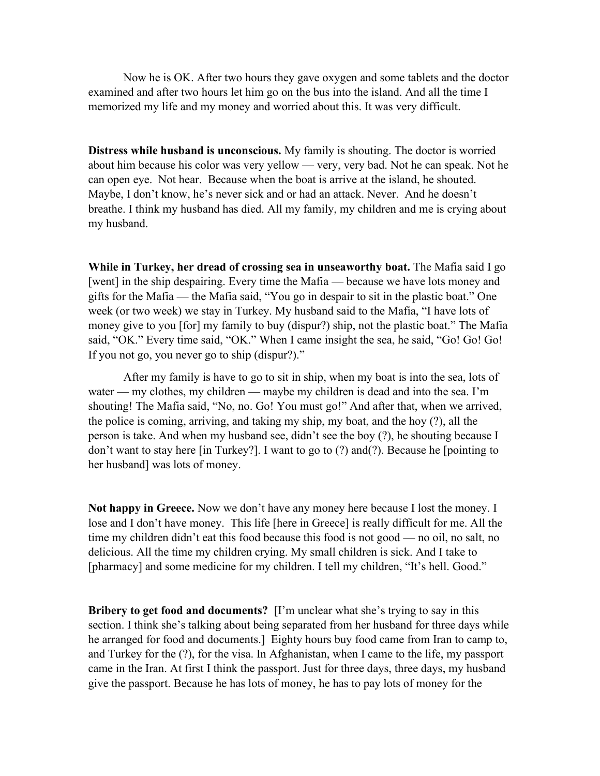Now he is OK. After two hours they gave oxygen and some tablets and the doctor examined and after two hours let him go on the bus into the island. And all the time I memorized my life and my money and worried about this. It was very difficult.

**Distress while husband is unconscious.** My family is shouting. The doctor is worried about him because his color was very yellow — very, very bad. Not he can speak. Not he can open eye. Not hear. Because when the boat is arrive at the island, he shouted. Maybe, I don't know, he's never sick and or had an attack. Never. And he doesn't breathe. I think my husband has died. All my family, my children and me is crying about my husband.

**While in Turkey, her dread of crossing sea in unseaworthy boat.** The Mafia said I go [went] in the ship despairing. Every time the Mafia — because we have lots money and gifts for the Mafia — the Mafia said, "You go in despair to sit in the plastic boat." One week (or two week) we stay in Turkey. My husband said to the Mafia, "I have lots of money give to you [for] my family to buy (dispur?) ship, not the plastic boat." The Mafia said, "OK." Every time said, "OK." When I came insight the sea, he said, "Go! Go! Go! If you not go, you never go to ship (dispur?)."

After my family is have to go to sit in ship, when my boat is into the sea, lots of water — my clothes, my children — maybe my children is dead and into the sea. I'm shouting! The Mafia said, "No, no. Go! You must go!" And after that, when we arrived, the police is coming, arriving, and taking my ship, my boat, and the hoy (?), all the person is take. And when my husband see, didn't see the boy (?), he shouting because I don't want to stay here [in Turkey?]. I want to go to (?) and(?). Because he [pointing to her husband] was lots of money.

**Not happy in Greece.** Now we don't have any money here because I lost the money. I lose and I don't have money. This life [here in Greece] is really difficult for me. All the time my children didn't eat this food because this food is not good — no oil, no salt, no delicious. All the time my children crying. My small children is sick. And I take to [pharmacy] and some medicine for my children. I tell my children, "It's hell. Good."

**Bribery to get food and documents?** [I'm unclear what she's trying to say in this section. I think she's talking about being separated from her husband for three days while he arranged for food and documents.] Eighty hours buy food came from Iran to camp to, and Turkey for the (?), for the visa. In Afghanistan, when I came to the life, my passport came in the Iran. At first I think the passport. Just for three days, three days, my husband give the passport. Because he has lots of money, he has to pay lots of money for the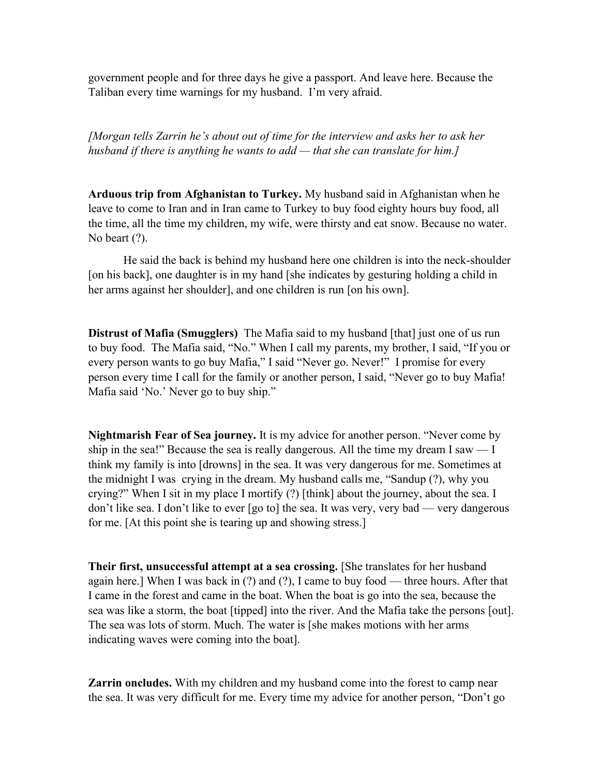government people and for three days he give a passport. And leave here. Because the Taliban every time warnings for my husband. I'm very afraid.

*[Morgan tells Zarrin he's about out of time for the interview and asks her to ask her husband if there is anything he wants to add — that she can translate for him.]*

**Arduous trip from Afghanistan to Turkey.** My husband said in Afghanistan when he leave to come to Iran and in Iran came to Turkey to buy food eighty hours buy food, all the time, all the time my children, my wife, were thirsty and eat snow. Because no water. No beart  $(?)$ .

He said the back is behind my husband here one children is into the neck-shoulder [on his back], one daughter is in my hand [she indicates by gesturing holding a child in her arms against her shoulder], and one children is run [on his own].

**Distrust of Mafia (Smugglers)** The Mafia said to my husband [that] just one of us run to buy food. The Mafia said, "No." When I call my parents, my brother, I said, "If you or every person wants to go buy Mafia," I said "Never go. Never!" I promise for every person every time I call for the family or another person, I said, "Never go to buy Mafia! Mafia said 'No.' Never go to buy ship."

**Nightmarish Fear of Sea journey.** It is my advice for another person. "Never come by ship in the sea!" Because the sea is really dangerous. All the time my dream I saw  $-1$ think my family is into [drowns] in the sea. It was very dangerous for me. Sometimes at the midnight I was crying in the dream. My husband calls me, "Sandup (?), why you crying?" When I sit in my place I mortify (?) [think] about the journey, about the sea. I don't like sea. I don't like to ever [go to] the sea. It was very, very bad — very dangerous for me. [At this point she is tearing up and showing stress.]

**Their first, unsuccessful attempt at a sea crossing.** [She translates for her husband again here.] When I was back in (?) and (?), I came to buy food — three hours. After that I came in the forest and came in the boat. When the boat is go into the sea, because the sea was like a storm, the boat [tipped] into the river. And the Mafia take the persons [out]. The sea was lots of storm. Much. The water is [she makes motions with her arms indicating waves were coming into the boat].

**Zarrin oncludes.** With my children and my husband come into the forest to camp near the sea. It was very difficult for me. Every time my advice for another person, "Don't go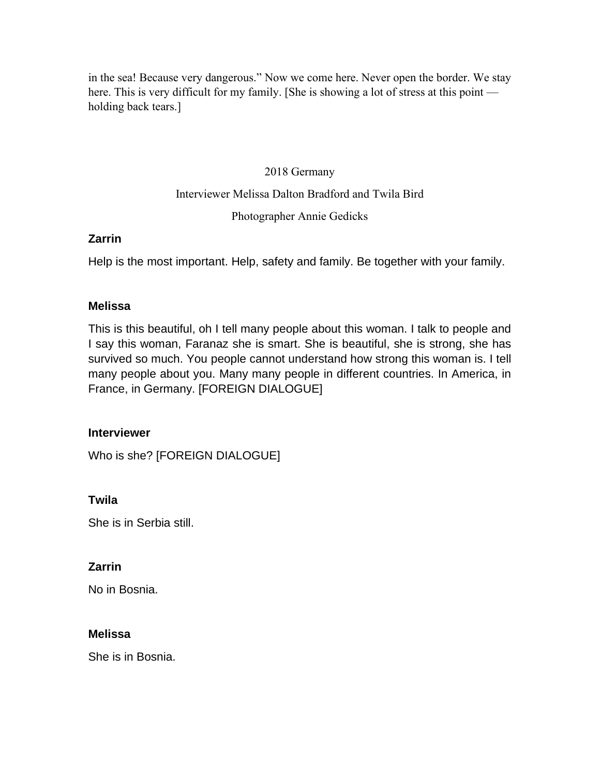in the sea! Because very dangerous." Now we come here. Never open the border. We stay here. This is very difficult for my family. [She is showing a lot of stress at this point holding back tears.]

### 2018 Germany

### Interviewer Melissa Dalton Bradford and Twila Bird

### Photographer Annie Gedicks

### **Zarrin**

Help is the most important. Help, safety and family. Be together with your family.

### **Melissa**

This is this beautiful, oh I tell many people about this woman. I talk to people and I say this woman, Faranaz she is smart. She is beautiful, she is strong, she has survived so much. You people cannot understand how strong this woman is. I tell many people about you. Many many people in different countries. In America, in France, in Germany. [FOREIGN DIALOGUE]

### **Interviewer**

Who is she? [FOREIGN DIALOGUE]

## **Twila**

She is in Serbia still.

## **Zarrin**

No in Bosnia.

### **Melissa**

She is in Bosnia.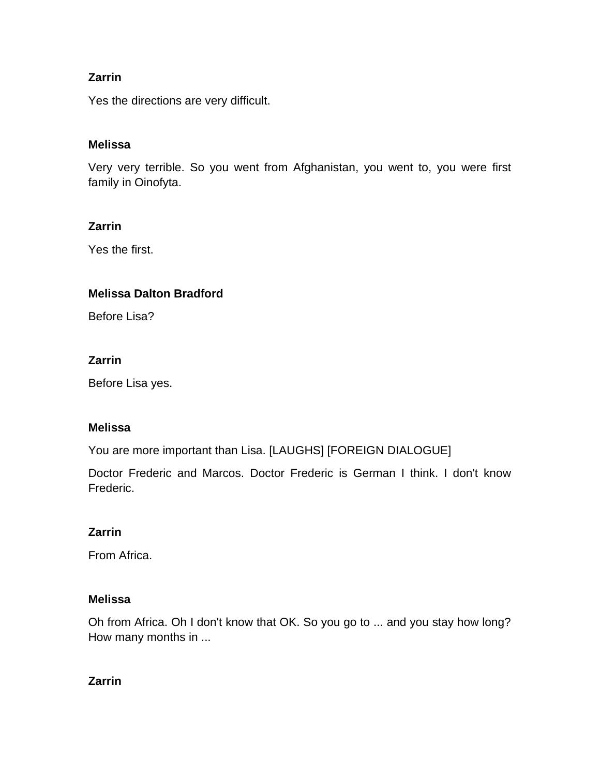Yes the directions are very difficult.

### **Melissa**

Very very terrible. So you went from Afghanistan, you went to, you were first family in Oinofyta.

### **Zarrin**

Yes the first.

### **Melissa Dalton Bradford**

Before Lisa?

### **Zarrin**

Before Lisa yes.

### **Melissa**

You are more important than Lisa. [LAUGHS] [FOREIGN DIALOGUE]

Doctor Frederic and Marcos. Doctor Frederic is German I think. I don't know Frederic.

## **Zarrin**

From Africa.

### **Melissa**

Oh from Africa. Oh I don't know that OK. So you go to ... and you stay how long? How many months in ...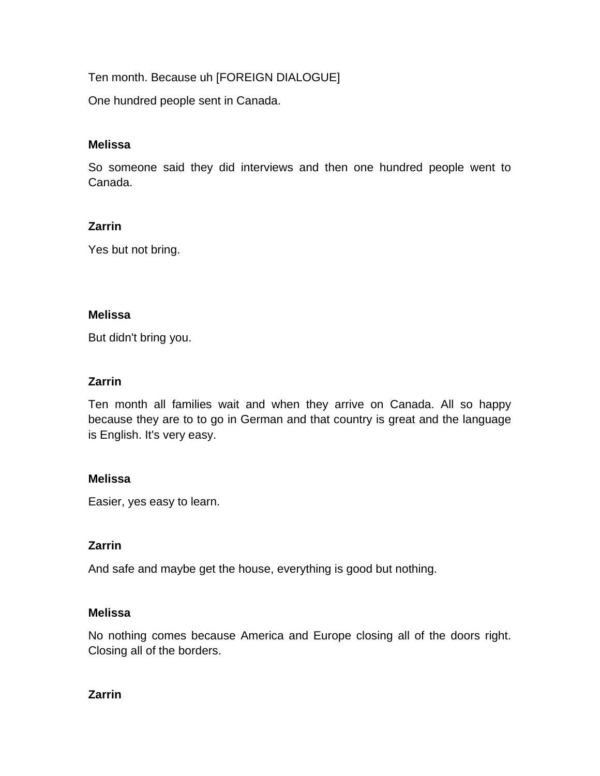Ten month. Because uh [FOREIGN DIALOGUE]

One hundred people sent in Canada.

### **Melissa**

So someone said they did interviews and then one hundred people went to Canada.

### **Zarrin**

Yes but not bring.

### **Melissa**

But didn't bring you.

### **Zarrin**

Ten month all families wait and when they arrive on Canada. All so happy because they are to to go in German and that country is great and the language is English. It's very easy.

### **Melissa**

Easier, yes easy to learn.

## **Zarrin**

And safe and maybe get the house, everything is good but nothing.

### **Melissa**

No nothing comes because America and Europe closing all of the doors right. Closing all of the borders.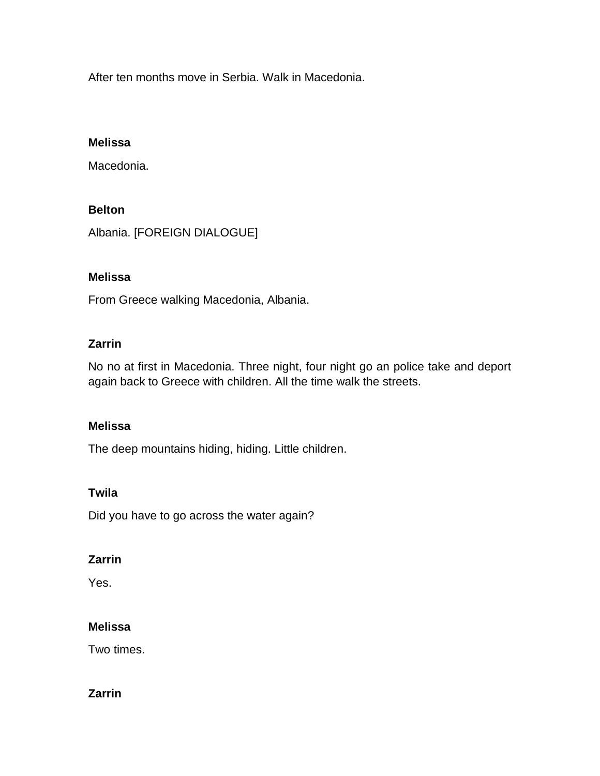After ten months move in Serbia. Walk in Macedonia.

### **Melissa**

Macedonia.

### **Belton**

Albania. [FOREIGN DIALOGUE]

## **Melissa**

From Greece walking Macedonia, Albania.

### **Zarrin**

No no at first in Macedonia. Three night, four night go an police take and deport again back to Greece with children. All the time walk the streets.

### **Melissa**

The deep mountains hiding, hiding. Little children.

### **Twila**

Did you have to go across the water again?

## **Zarrin**

Yes.

## **Melissa**

Two times.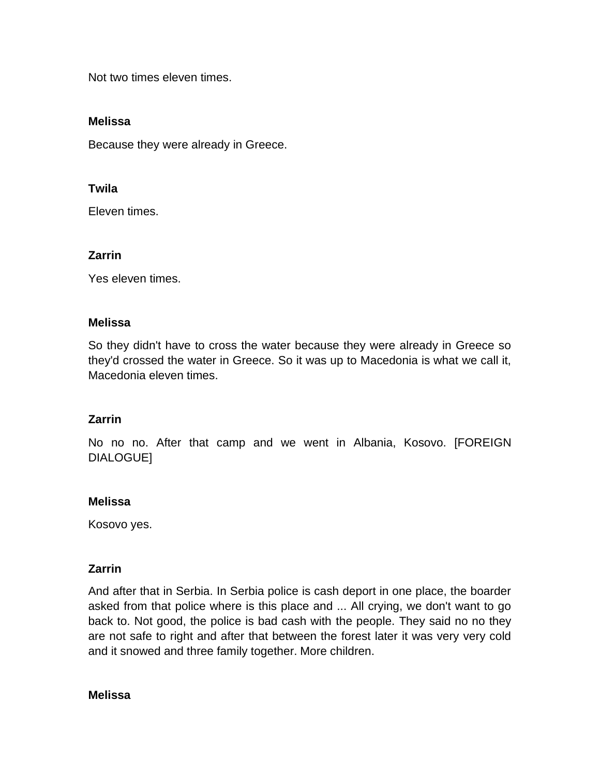Not two times eleven times.

#### **Melissa**

Because they were already in Greece.

#### **Twila**

Eleven times.

#### **Zarrin**

Yes eleven times.

#### **Melissa**

So they didn't have to cross the water because they were already in Greece so they'd crossed the water in Greece. So it was up to Macedonia is what we call it, Macedonia eleven times.

### **Zarrin**

No no no. After that camp and we went in Albania, Kosovo. [FOREIGN DIALOGUE]

#### **Melissa**

Kosovo yes.

### **Zarrin**

And after that in Serbia. In Serbia police is cash deport in one place, the boarder asked from that police where is this place and ... All crying, we don't want to go back to. Not good, the police is bad cash with the people. They said no no they are not safe to right and after that between the forest later it was very very cold and it snowed and three family together. More children.

#### **Melissa**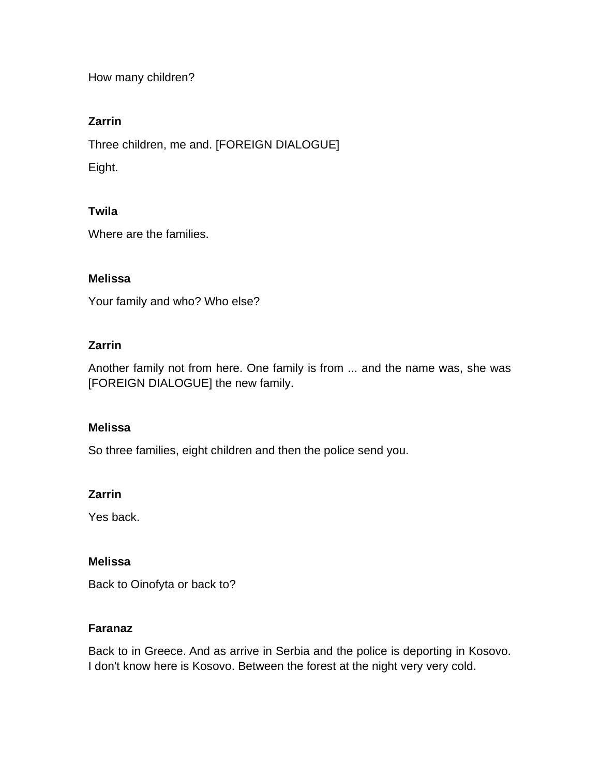How many children?

## **Zarrin**

Three children, me and. [FOREIGN DIALOGUE]

Eight.

### **Twila**

Where are the families.

### **Melissa**

Your family and who? Who else?

### **Zarrin**

Another family not from here. One family is from ... and the name was, she was [FOREIGN DIALOGUE] the new family.

### **Melissa**

So three families, eight children and then the police send you.

## **Zarrin**

Yes back.

### **Melissa**

Back to Oinofyta or back to?

### **Faranaz**

Back to in Greece. And as arrive in Serbia and the police is deporting in Kosovo. I don't know here is Kosovo. Between the forest at the night very very cold.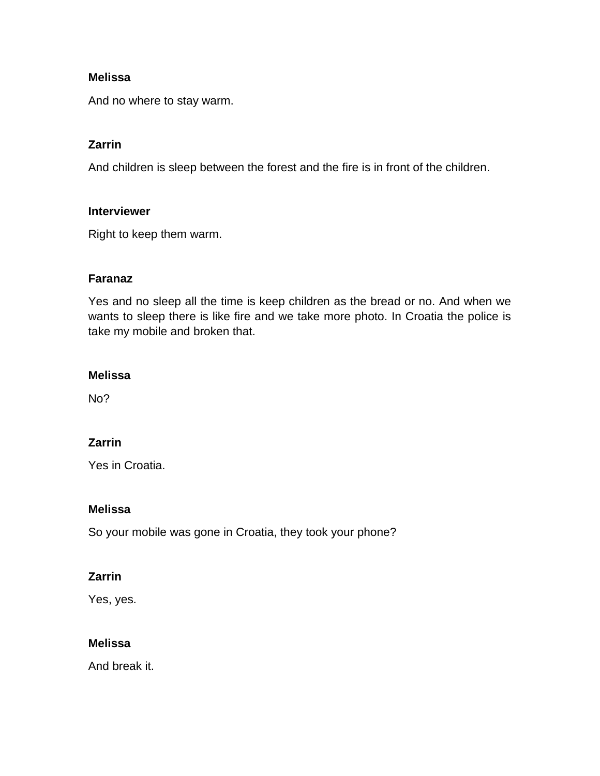And no where to stay warm.

## **Zarrin**

And children is sleep between the forest and the fire is in front of the children.

#### **Interviewer**

Right to keep them warm.

### **Faranaz**

Yes and no sleep all the time is keep children as the bread or no. And when we wants to sleep there is like fire and we take more photo. In Croatia the police is take my mobile and broken that.

### **Melissa**

No?

## **Zarrin**

Yes in Croatia.

### **Melissa**

So your mobile was gone in Croatia, they took your phone?

### **Zarrin**

Yes, yes.

### **Melissa**

And break it.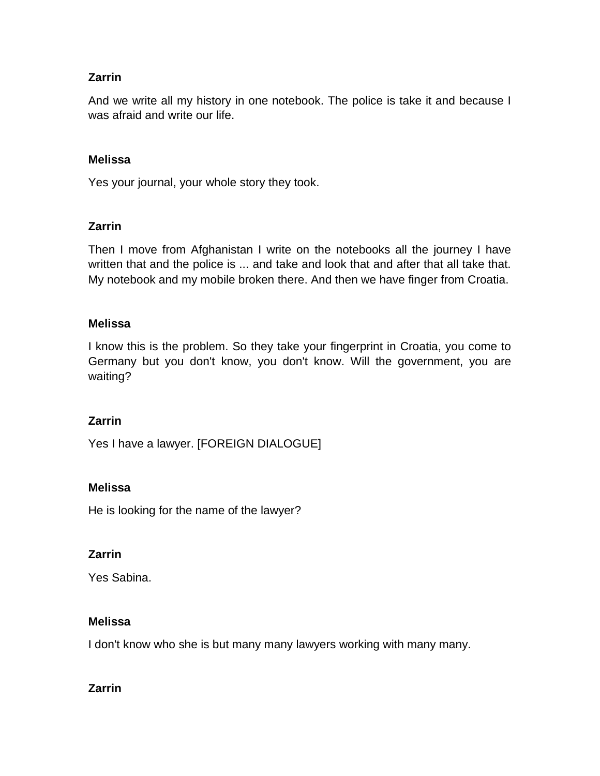And we write all my history in one notebook. The police is take it and because I was afraid and write our life.

### **Melissa**

Yes your journal, your whole story they took.

### **Zarrin**

Then I move from Afghanistan I write on the notebooks all the journey I have written that and the police is ... and take and look that and after that all take that. My notebook and my mobile broken there. And then we have finger from Croatia.

### **Melissa**

I know this is the problem. So they take your fingerprint in Croatia, you come to Germany but you don't know, you don't know. Will the government, you are waiting?

### **Zarrin**

Yes I have a lawyer. [FOREIGN DIALOGUE]

### **Melissa**

He is looking for the name of the lawyer?

### **Zarrin**

Yes Sabina.

### **Melissa**

I don't know who she is but many many lawyers working with many many.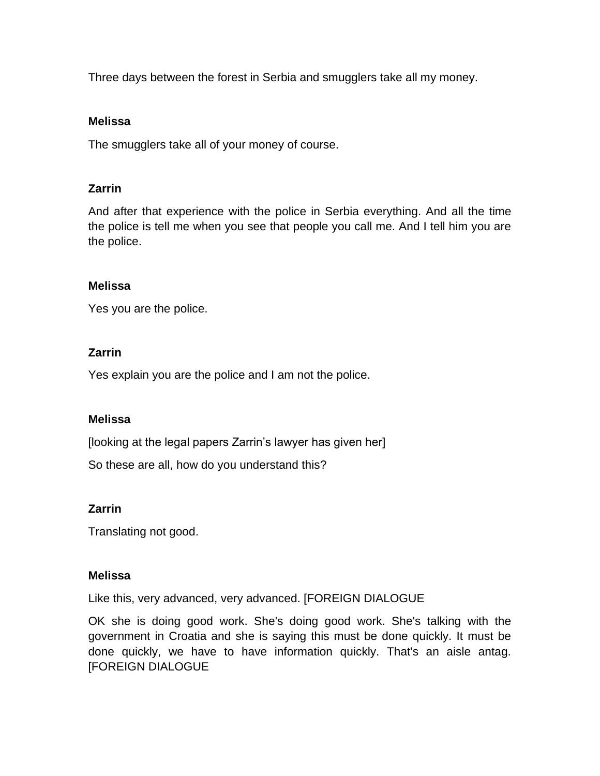Three days between the forest in Serbia and smugglers take all my money.

#### **Melissa**

The smugglers take all of your money of course.

### **Zarrin**

And after that experience with the police in Serbia everything. And all the time the police is tell me when you see that people you call me. And I tell him you are the police.

### **Melissa**

Yes you are the police.

### **Zarrin**

Yes explain you are the police and I am not the police.

### **Melissa**

[looking at the legal papers Zarrin's lawyer has given her]

So these are all, how do you understand this?

## **Zarrin**

Translating not good.

### **Melissa**

Like this, very advanced, very advanced. [FOREIGN DIALOGUE

OK she is doing good work. She's doing good work. She's talking with the government in Croatia and she is saying this must be done quickly. It must be done quickly, we have to have information quickly. That's an aisle antag. [FOREIGN DIALOGUE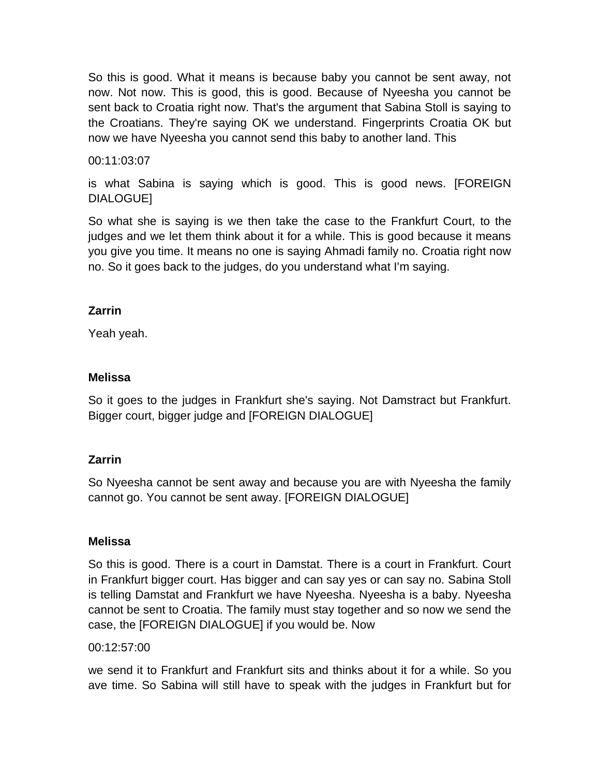So this is good. What it means is because baby you cannot be sent away, not now. Not now. This is good, this is good. Because of Nyeesha you cannot be sent back to Croatia right now. That's the argument that Sabina Stoll is saying to the Croatians. They're saying OK we understand. Fingerprints Croatia OK but now we have Nyeesha you cannot send this baby to another land. This

## 00:11:03:07

is what Sabina is saying which is good. This is good news. [FOREIGN DIALOGUE]

So what she is saying is we then take the case to the Frankfurt Court, to the judges and we let them think about it for a while. This is good because it means you give you time. It means no one is saying Ahmadi family no. Croatia right now no. So it goes back to the judges, do you understand what I'm saying.

### **Zarrin**

Yeah yeah.

### **Melissa**

So it goes to the judges in Frankfurt she's saying. Not Damstract but Frankfurt. Bigger court, bigger judge and [FOREIGN DIALOGUE]

## **Zarrin**

So Nyeesha cannot be sent away and because you are with Nyeesha the family cannot go. You cannot be sent away. [FOREIGN DIALOGUE]

### **Melissa**

So this is good. There is a court in Damstat. There is a court in Frankfurt. Court in Frankfurt bigger court. Has bigger and can say yes or can say no. Sabina Stoll is telling Damstat and Frankfurt we have Nyeesha. Nyeesha is a baby. Nyeesha cannot be sent to Croatia. The family must stay together and so now we send the case, the [FOREIGN DIALOGUE] if you would be. Now

### 00:12:57:00

we send it to Frankfurt and Frankfurt sits and thinks about it for a while. So you ave time. So Sabina will still have to speak with the judges in Frankfurt but for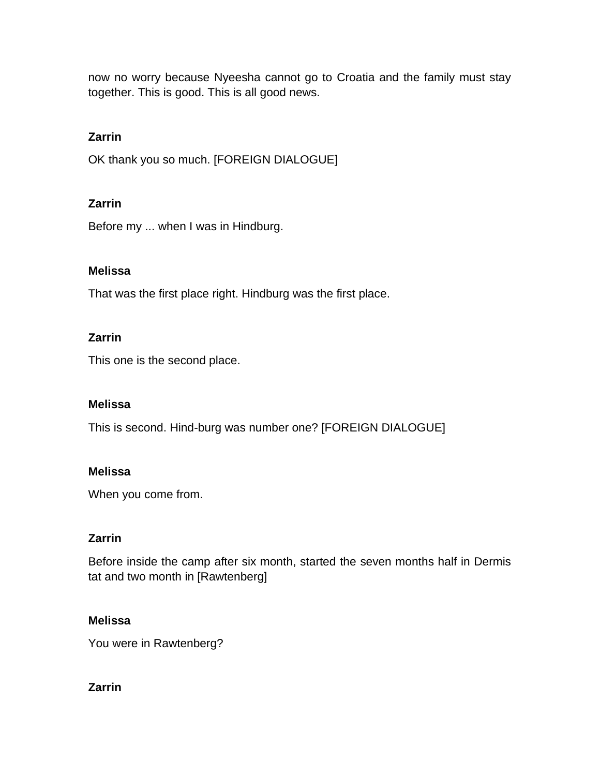now no worry because Nyeesha cannot go to Croatia and the family must stay together. This is good. This is all good news.

## **Zarrin**

OK thank you so much. [FOREIGN DIALOGUE]

## **Zarrin**

Before my ... when I was in Hindburg.

## **Melissa**

That was the first place right. Hindburg was the first place.

## **Zarrin**

This one is the second place.

## **Melissa**

This is second. Hind-burg was number one? [FOREIGN DIALOGUE]

## **Melissa**

When you come from.

## **Zarrin**

Before inside the camp after six month, started the seven months half in Dermis tat and two month in [Rawtenberg]

## **Melissa**

You were in Rawtenberg?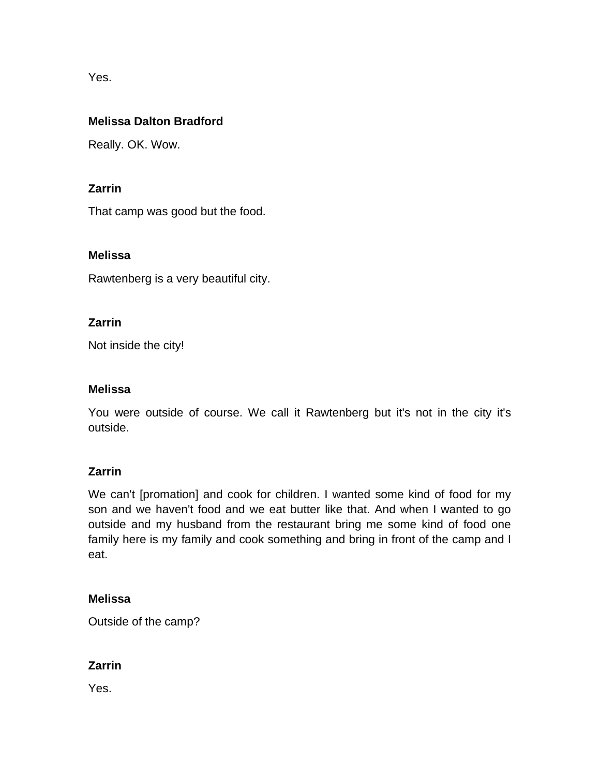Yes.

## **Melissa Dalton Bradford**

Really. OK. Wow.

## **Zarrin**

That camp was good but the food.

## **Melissa**

Rawtenberg is a very beautiful city.

## **Zarrin**

Not inside the city!

## **Melissa**

You were outside of course. We call it Rawtenberg but it's not in the city it's outside.

## **Zarrin**

We can't [promation] and cook for children. I wanted some kind of food for my son and we haven't food and we eat butter like that. And when I wanted to go outside and my husband from the restaurant bring me some kind of food one family here is my family and cook something and bring in front of the camp and I eat.

## **Melissa**

Outside of the camp?

# **Zarrin**

Yes.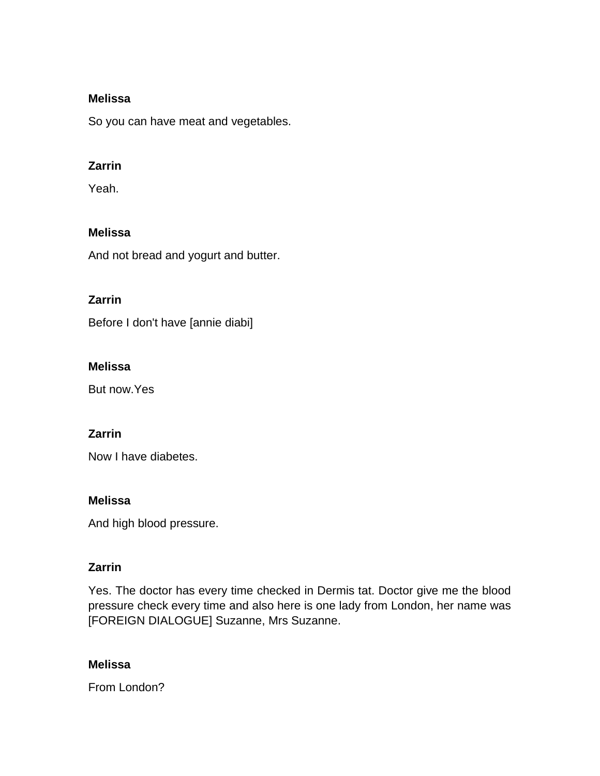So you can have meat and vegetables.

## **Zarrin**

Yeah.

## **Melissa**

And not bread and yogurt and butter.

## **Zarrin**

Before I don't have [annie diabi]

## **Melissa**

But now.Yes

## **Zarrin**

Now I have diabetes.

## **Melissa**

And high blood pressure.

## **Zarrin**

Yes. The doctor has every time checked in Dermis tat. Doctor give me the blood pressure check every time and also here is one lady from London, her name was [FOREIGN DIALOGUE] Suzanne, Mrs Suzanne.

## **Melissa**

From London?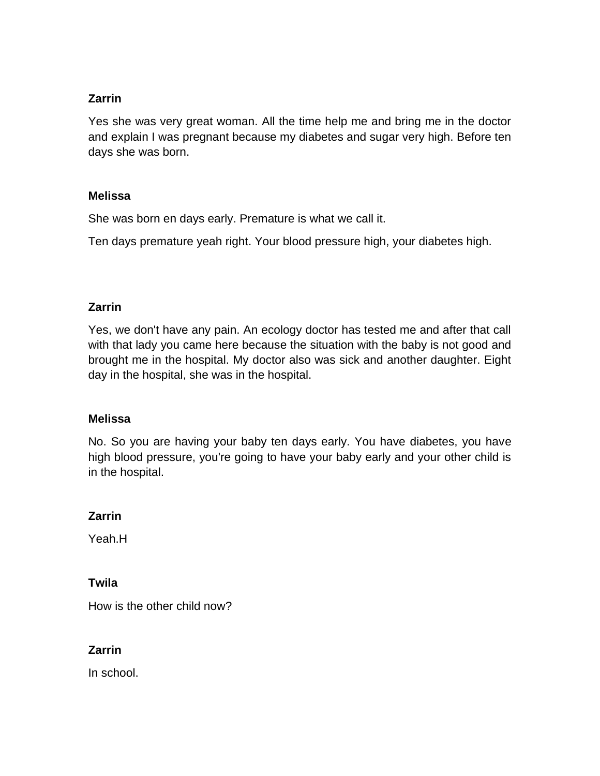Yes she was very great woman. All the time help me and bring me in the doctor and explain I was pregnant because my diabetes and sugar very high. Before ten days she was born.

### **Melissa**

She was born en days early. Premature is what we call it.

Ten days premature yeah right. Your blood pressure high, your diabetes high.

### **Zarrin**

Yes, we don't have any pain. An ecology doctor has tested me and after that call with that lady you came here because the situation with the baby is not good and brought me in the hospital. My doctor also was sick and another daughter. Eight day in the hospital, she was in the hospital.

### **Melissa**

No. So you are having your baby ten days early. You have diabetes, you have high blood pressure, you're going to have your baby early and your other child is in the hospital.

### **Zarrin**

Yeah.H

### **Twila**

How is the other child now?

## **Zarrin**

In school.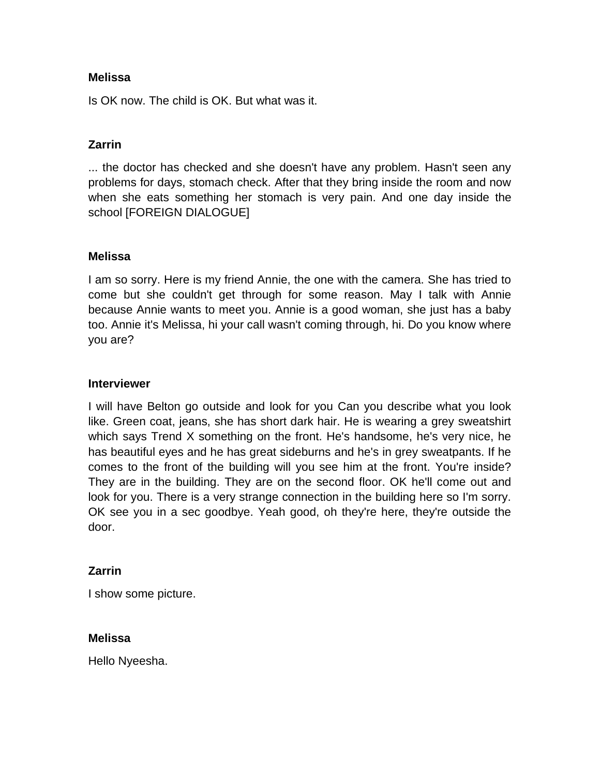Is OK now. The child is OK. But what was it.

## **Zarrin**

... the doctor has checked and she doesn't have any problem. Hasn't seen any problems for days, stomach check. After that they bring inside the room and now when she eats something her stomach is very pain. And one day inside the school [FOREIGN DIALOGUE]

### **Melissa**

I am so sorry. Here is my friend Annie, the one with the camera. She has tried to come but she couldn't get through for some reason. May I talk with Annie because Annie wants to meet you. Annie is a good woman, she just has a baby too. Annie it's Melissa, hi your call wasn't coming through, hi. Do you know where you are?

#### **Interviewer**

I will have Belton go outside and look for you Can you describe what you look like. Green coat, jeans, she has short dark hair. He is wearing a grey sweatshirt which says Trend X something on the front. He's handsome, he's very nice, he has beautiful eyes and he has great sideburns and he's in grey sweatpants. If he comes to the front of the building will you see him at the front. You're inside? They are in the building. They are on the second floor. OK he'll come out and look for you. There is a very strange connection in the building here so I'm sorry. OK see you in a sec goodbye. Yeah good, oh they're here, they're outside the door.

### **Zarrin**

I show some picture.

### **Melissa**

Hello Nyeesha.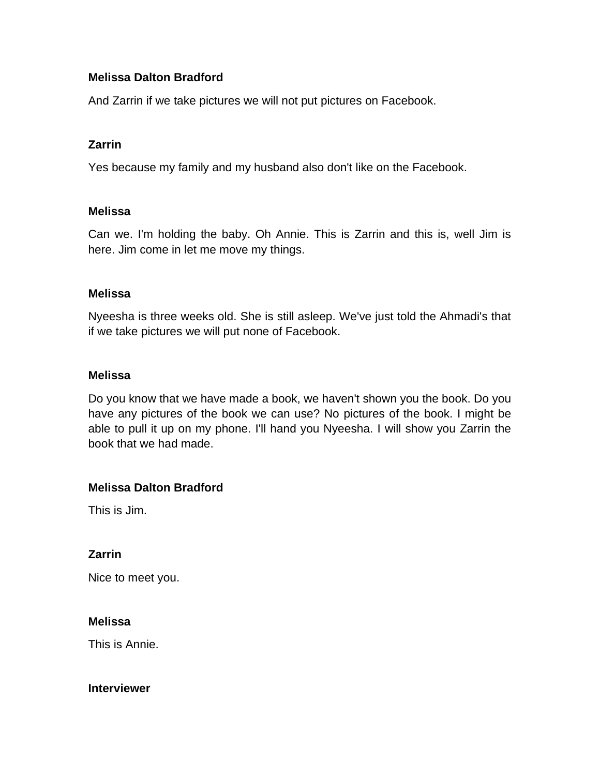## **Melissa Dalton Bradford**

And Zarrin if we take pictures we will not put pictures on Facebook.

### **Zarrin**

Yes because my family and my husband also don't like on the Facebook.

#### **Melissa**

Can we. I'm holding the baby. Oh Annie. This is Zarrin and this is, well Jim is here. Jim come in let me move my things.

#### **Melissa**

Nyeesha is three weeks old. She is still asleep. We've just told the Ahmadi's that if we take pictures we will put none of Facebook.

#### **Melissa**

Do you know that we have made a book, we haven't shown you the book. Do you have any pictures of the book we can use? No pictures of the book. I might be able to pull it up on my phone. I'll hand you Nyeesha. I will show you Zarrin the book that we had made.

### **Melissa Dalton Bradford**

This is Jim.

### **Zarrin**

Nice to meet you.

### **Melissa**

This is Annie.

#### **Interviewer**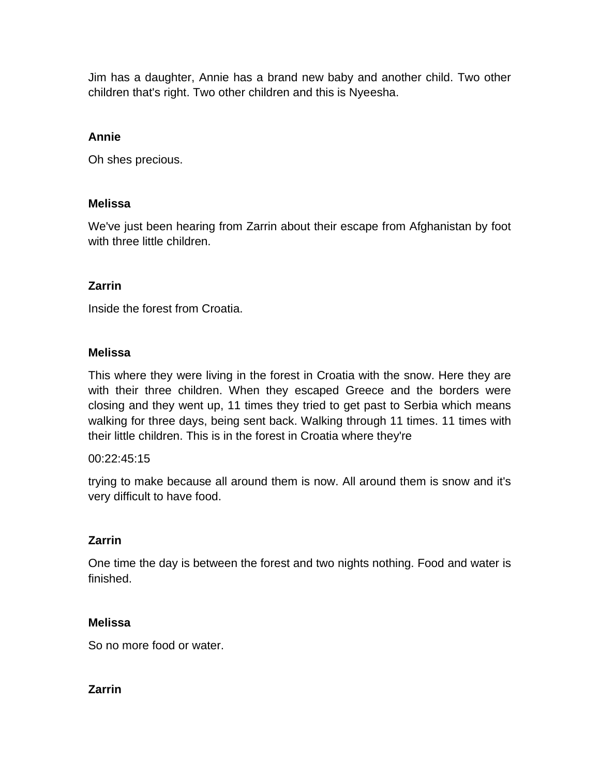Jim has a daughter, Annie has a brand new baby and another child. Two other children that's right. Two other children and this is Nyeesha.

### **Annie**

Oh shes precious.

### **Melissa**

We've just been hearing from Zarrin about their escape from Afghanistan by foot with three little children.

## **Zarrin**

Inside the forest from Croatia.

### **Melissa**

This where they were living in the forest in Croatia with the snow. Here they are with their three children. When they escaped Greece and the borders were closing and they went up, 11 times they tried to get past to Serbia which means walking for three days, being sent back. Walking through 11 times. 11 times with their little children. This is in the forest in Croatia where they're

### 00:22:45:15

trying to make because all around them is now. All around them is snow and it's very difficult to have food.

### **Zarrin**

One time the day is between the forest and two nights nothing. Food and water is finished.

### **Melissa**

So no more food or water.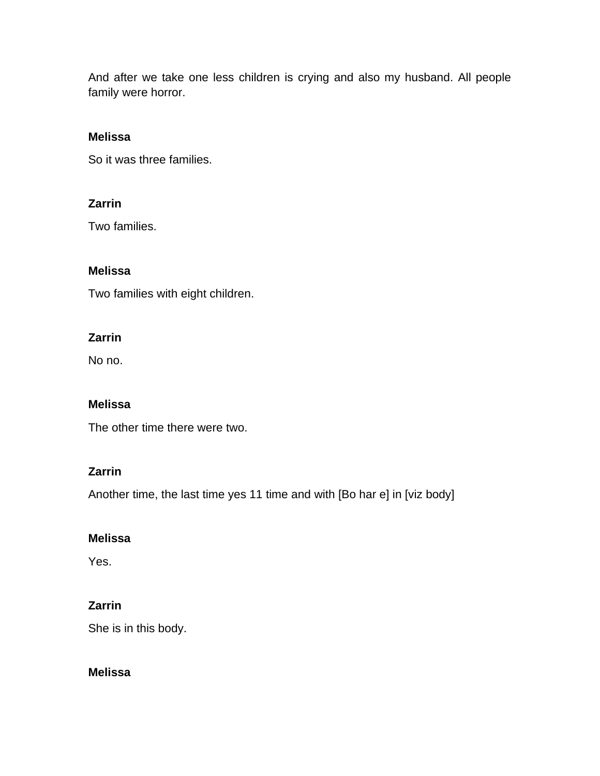And after we take one less children is crying and also my husband. All people family were horror.

## **Melissa**

So it was three families.

## **Zarrin**

Two families.

### **Melissa**

Two families with eight children.

### **Zarrin**

No no.

### **Melissa**

The other time there were two.

## **Zarrin**

Another time, the last time yes 11 time and with [Bo har e] in [viz body]

### **Melissa**

Yes.

# **Zarrin**

She is in this body.

### **Melissa**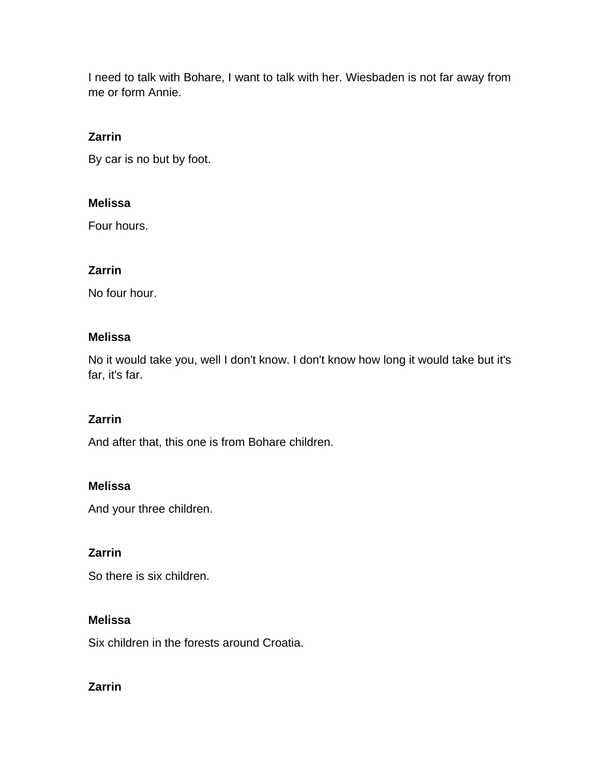I need to talk with Bohare, I want to talk with her. Wiesbaden is not far away from me or form Annie.

# **Zarrin**

By car is no but by foot.

### **Melissa**

Four hours.

## **Zarrin**

No four hour.

### **Melissa**

No it would take you, well I don't know. I don't know how long it would take but it's far, it's far.

## **Zarrin**

And after that, this one is from Bohare children.

## **Melissa**

And your three children.

## **Zarrin**

So there is six children.

## **Melissa**

Six children in the forests around Croatia.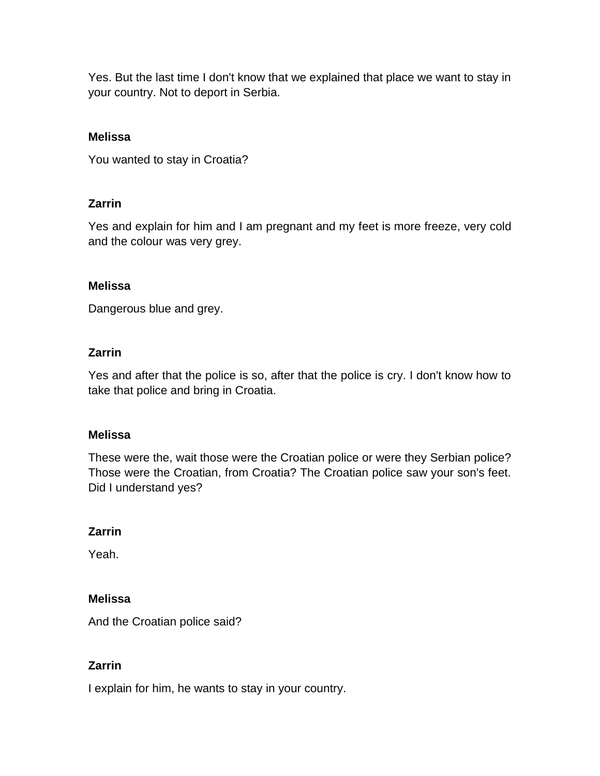Yes. But the last time I don't know that we explained that place we want to stay in your country. Not to deport in Serbia.

### **Melissa**

You wanted to stay in Croatia?

## **Zarrin**

Yes and explain for him and I am pregnant and my feet is more freeze, very cold and the colour was very grey.

### **Melissa**

Dangerous blue and grey.

### **Zarrin**

Yes and after that the police is so, after that the police is cry. I don't know how to take that police and bring in Croatia.

### **Melissa**

These were the, wait those were the Croatian police or were they Serbian police? Those were the Croatian, from Croatia? The Croatian police saw your son's feet. Did I understand yes?

### **Zarrin**

Yeah.

### **Melissa**

And the Croatian police said?

## **Zarrin**

I explain for him, he wants to stay in your country.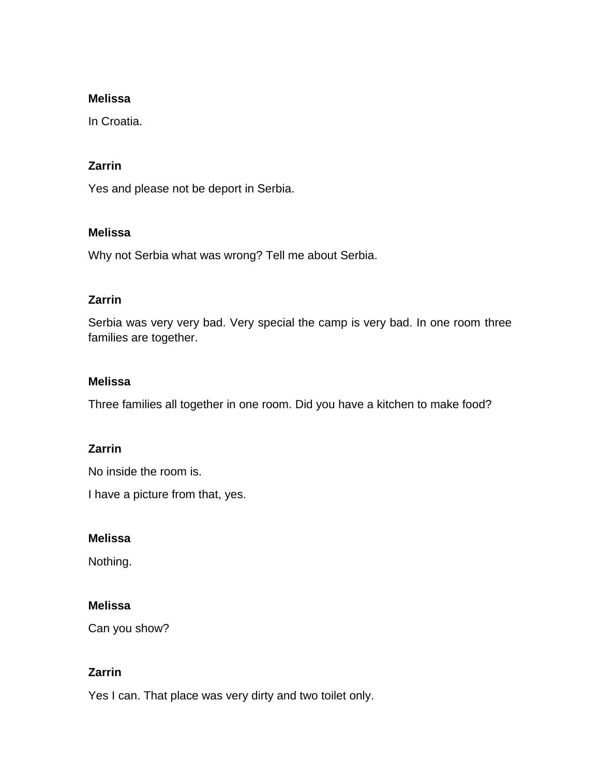In Croatia.

### **Zarrin**

Yes and please not be deport in Serbia.

### **Melissa**

Why not Serbia what was wrong? Tell me about Serbia.

## **Zarrin**

Serbia was very very bad. Very special the camp is very bad. In one room three families are together.

### **Melissa**

Three families all together in one room. Did you have a kitchen to make food?

## **Zarrin**

No inside the room is.

I have a picture from that, yes.

### **Melissa**

Nothing.

## **Melissa**

Can you show?

## **Zarrin**

Yes I can. That place was very dirty and two toilet only.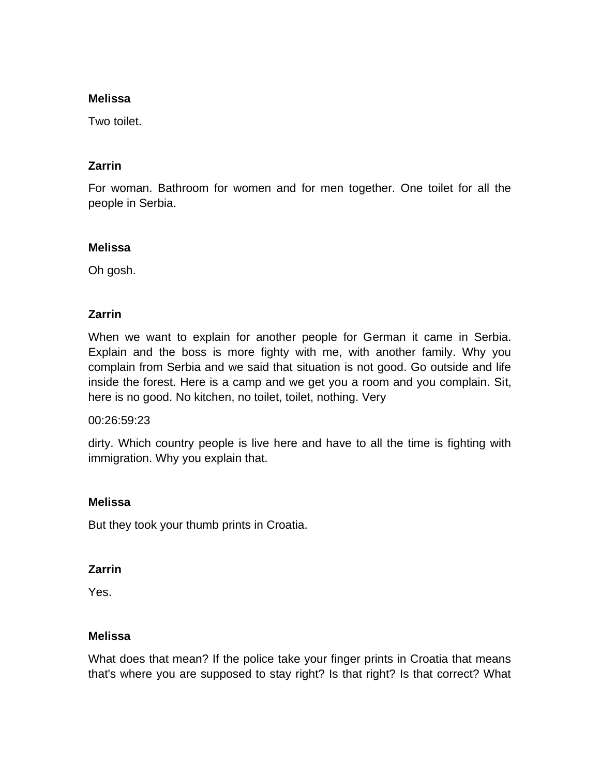Two toilet.

## **Zarrin**

For woman. Bathroom for women and for men together. One toilet for all the people in Serbia.

### **Melissa**

Oh gosh.

## **Zarrin**

When we want to explain for another people for German it came in Serbia. Explain and the boss is more fighty with me, with another family. Why you complain from Serbia and we said that situation is not good. Go outside and life inside the forest. Here is a camp and we get you a room and you complain. Sit, here is no good. No kitchen, no toilet, toilet, nothing. Very

### 00:26:59:23

dirty. Which country people is live here and have to all the time is fighting with immigration. Why you explain that.

## **Melissa**

But they took your thumb prints in Croatia.

## **Zarrin**

Yes.

## **Melissa**

What does that mean? If the police take your finger prints in Croatia that means that's where you are supposed to stay right? Is that right? Is that correct? What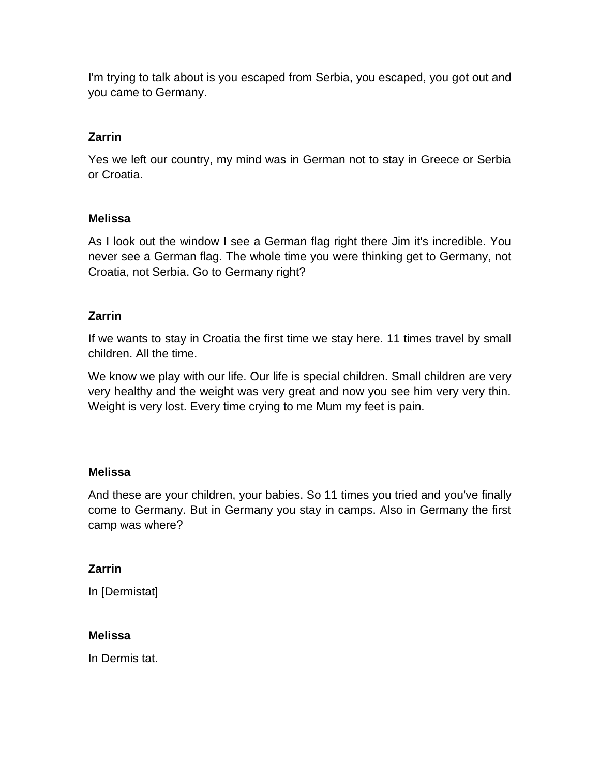I'm trying to talk about is you escaped from Serbia, you escaped, you got out and you came to Germany.

# **Zarrin**

Yes we left our country, my mind was in German not to stay in Greece or Serbia or Croatia.

## **Melissa**

As I look out the window I see a German flag right there Jim it's incredible. You never see a German flag. The whole time you were thinking get to Germany, not Croatia, not Serbia. Go to Germany right?

## **Zarrin**

If we wants to stay in Croatia the first time we stay here. 11 times travel by small children. All the time.

We know we play with our life. Our life is special children. Small children are very very healthy and the weight was very great and now you see him very very thin. Weight is very lost. Every time crying to me Mum my feet is pain.

## **Melissa**

And these are your children, your babies. So 11 times you tried and you've finally come to Germany. But in Germany you stay in camps. Also in Germany the first camp was where?

## **Zarrin**

In [Dermistat]

## **Melissa**

In Dermis tat.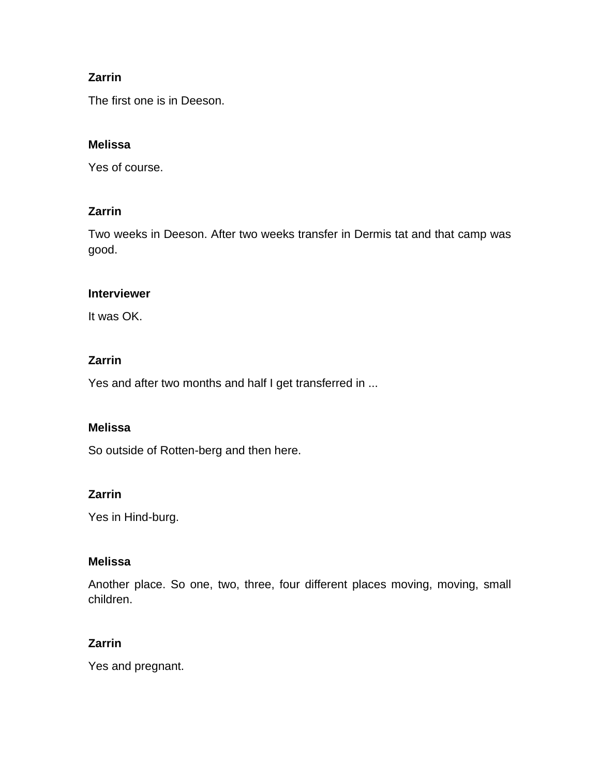The first one is in Deeson.

## **Melissa**

Yes of course.

### **Zarrin**

Two weeks in Deeson. After two weeks transfer in Dermis tat and that camp was good.

### **Interviewer**

It was OK.

## **Zarrin**

Yes and after two months and half I get transferred in ...

## **Melissa**

So outside of Rotten-berg and then here.

## **Zarrin**

Yes in Hind-burg.

### **Melissa**

Another place. So one, two, three, four different places moving, moving, small children.

## **Zarrin**

Yes and pregnant.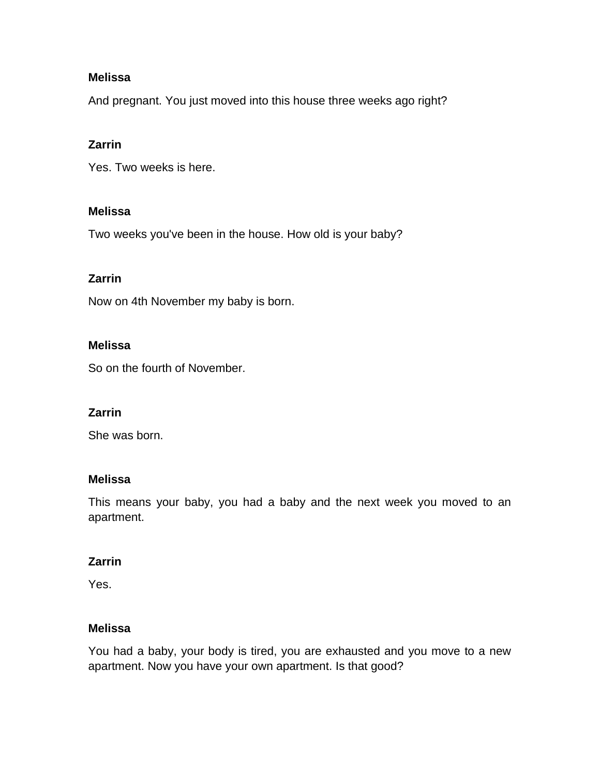And pregnant. You just moved into this house three weeks ago right?

## **Zarrin**

Yes. Two weeks is here.

### **Melissa**

Two weeks you've been in the house. How old is your baby?

### **Zarrin**

Now on 4th November my baby is born.

### **Melissa**

So on the fourth of November.

## **Zarrin**

She was born.

### **Melissa**

This means your baby, you had a baby and the next week you moved to an apartment.

## **Zarrin**

Yes.

## **Melissa**

You had a baby, your body is tired, you are exhausted and you move to a new apartment. Now you have your own apartment. Is that good?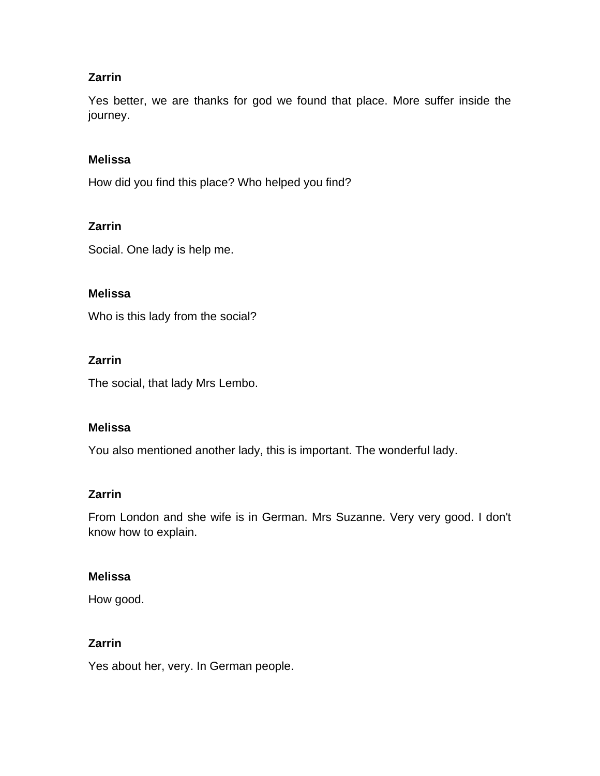Yes better, we are thanks for god we found that place. More suffer inside the journey.

### **Melissa**

How did you find this place? Who helped you find?

### **Zarrin**

Social. One lady is help me.

### **Melissa**

Who is this lady from the social?

### **Zarrin**

The social, that lady Mrs Lembo.

### **Melissa**

You also mentioned another lady, this is important. The wonderful lady.

### **Zarrin**

From London and she wife is in German. Mrs Suzanne. Very very good. I don't know how to explain.

### **Melissa**

How good.

### **Zarrin**

Yes about her, very. In German people.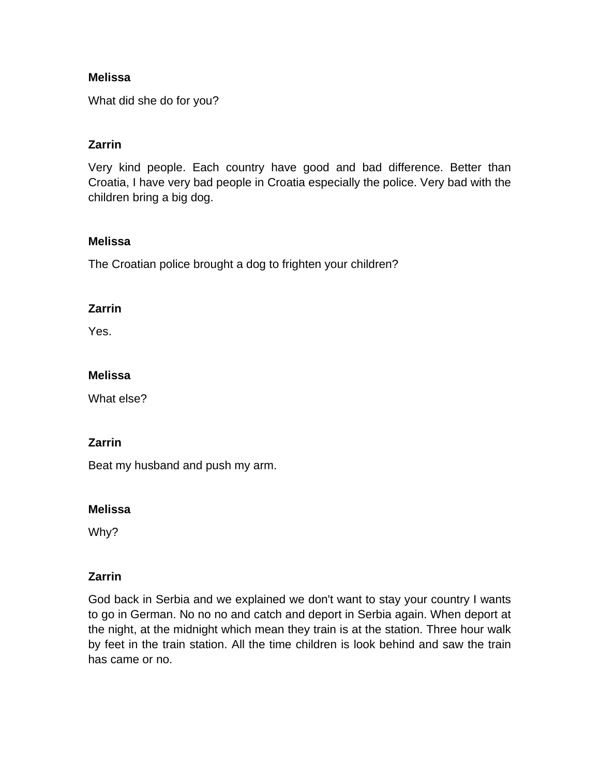What did she do for you?

## **Zarrin**

Very kind people. Each country have good and bad difference. Better than Croatia, I have very bad people in Croatia especially the police. Very bad with the children bring a big dog.

### **Melissa**

The Croatian police brought a dog to frighten your children?

### **Zarrin**

Yes.

### **Melissa**

What else?

### **Zarrin**

Beat my husband and push my arm.

### **Melissa**

Why?

## **Zarrin**

God back in Serbia and we explained we don't want to stay your country I wants to go in German. No no no and catch and deport in Serbia again. When deport at the night, at the midnight which mean they train is at the station. Three hour walk by feet in the train station. All the time children is look behind and saw the train has came or no.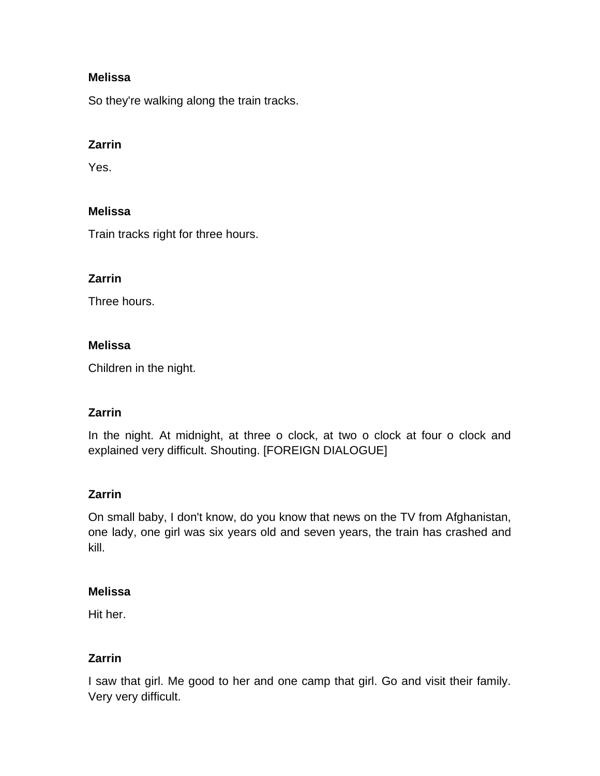So they're walking along the train tracks.

## **Zarrin**

Yes.

### **Melissa**

Train tracks right for three hours.

### **Zarrin**

Three hours.

### **Melissa**

Children in the night.

## **Zarrin**

In the night. At midnight, at three o clock, at two o clock at four o clock and explained very difficult. Shouting. [FOREIGN DIALOGUE]

## **Zarrin**

On small baby, I don't know, do you know that news on the TV from Afghanistan, one lady, one girl was six years old and seven years, the train has crashed and kill.

### **Melissa**

Hit her.

## **Zarrin**

I saw that girl. Me good to her and one camp that girl. Go and visit their family. Very very difficult.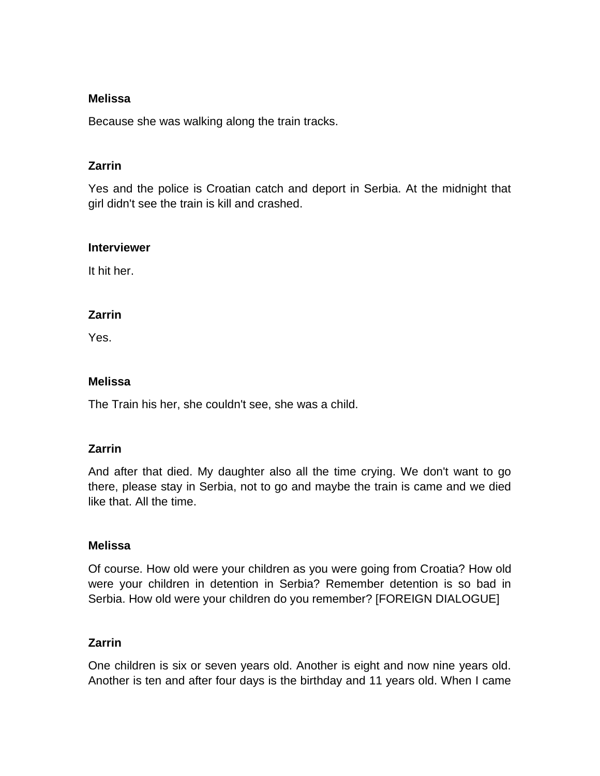Because she was walking along the train tracks.

## **Zarrin**

Yes and the police is Croatian catch and deport in Serbia. At the midnight that girl didn't see the train is kill and crashed.

#### **Interviewer**

It hit her.

### **Zarrin**

Yes.

## **Melissa**

The Train his her, she couldn't see, she was a child.

## **Zarrin**

And after that died. My daughter also all the time crying. We don't want to go there, please stay in Serbia, not to go and maybe the train is came and we died like that. All the time.

## **Melissa**

Of course. How old were your children as you were going from Croatia? How old were your children in detention in Serbia? Remember detention is so bad in Serbia. How old were your children do you remember? [FOREIGN DIALOGUE]

## **Zarrin**

One children is six or seven years old. Another is eight and now nine years old. Another is ten and after four days is the birthday and 11 years old. When I came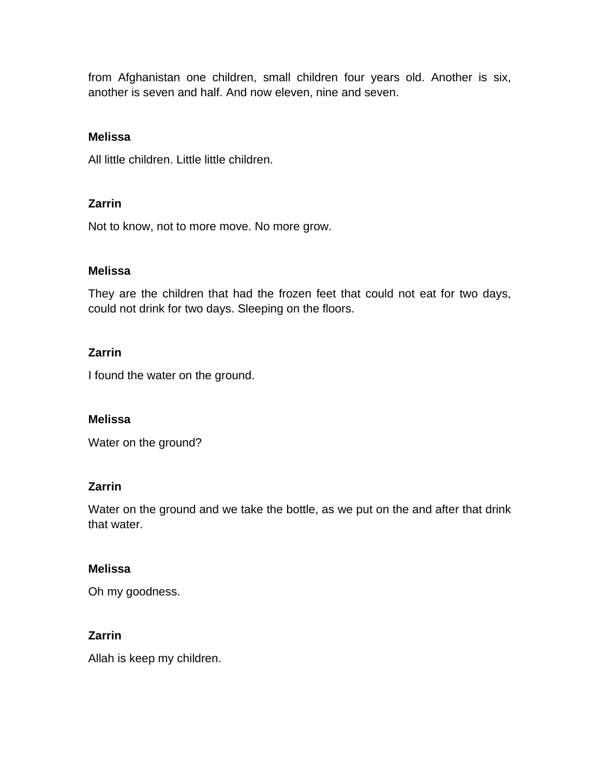from Afghanistan one children, small children four years old. Another is six, another is seven and half. And now eleven, nine and seven.

### **Melissa**

All little children. Little little children.

## **Zarrin**

Not to know, not to more move. No more grow.

### **Melissa**

They are the children that had the frozen feet that could not eat for two days, could not drink for two days. Sleeping on the floors.

### **Zarrin**

I found the water on the ground.

### **Melissa**

Water on the ground?

### **Zarrin**

Water on the ground and we take the bottle, as we put on the and after that drink that water.

### **Melissa**

Oh my goodness.

## **Zarrin**

Allah is keep my children.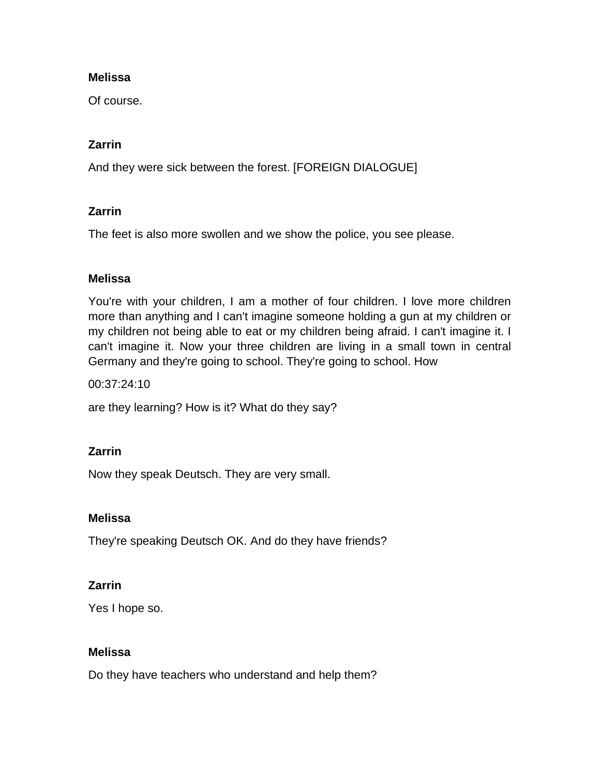Of course.

## **Zarrin**

And they were sick between the forest. [FOREIGN DIALOGUE]

## **Zarrin**

The feet is also more swollen and we show the police, you see please.

### **Melissa**

You're with your children, I am a mother of four children. I love more children more than anything and I can't imagine someone holding a gun at my children or my children not being able to eat or my children being afraid. I can't imagine it. I can't imagine it. Now your three children are living in a small town in central Germany and they're going to school. They're going to school. How

00:37:24:10

are they learning? How is it? What do they say?

## **Zarrin**

Now they speak Deutsch. They are very small.

### **Melissa**

They're speaking Deutsch OK. And do they have friends?

## **Zarrin**

Yes I hope so.

### **Melissa**

Do they have teachers who understand and help them?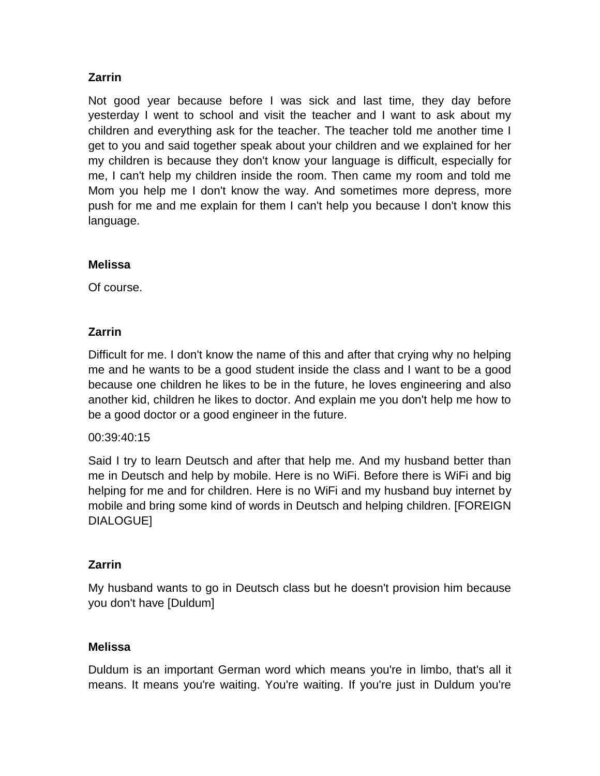Not good year because before I was sick and last time, they day before yesterday I went to school and visit the teacher and I want to ask about my children and everything ask for the teacher. The teacher told me another time I get to you and said together speak about your children and we explained for her my children is because they don't know your language is difficult, especially for me, I can't help my children inside the room. Then came my room and told me Mom you help me I don't know the way. And sometimes more depress, more push for me and me explain for them I can't help you because I don't know this language.

### **Melissa**

Of course.

## **Zarrin**

Difficult for me. I don't know the name of this and after that crying why no helping me and he wants to be a good student inside the class and I want to be a good because one children he likes to be in the future, he loves engineering and also another kid, children he likes to doctor. And explain me you don't help me how to be a good doctor or a good engineer in the future.

## 00:39:40:15

Said I try to learn Deutsch and after that help me. And my husband better than me in Deutsch and help by mobile. Here is no WiFi. Before there is WiFi and big helping for me and for children. Here is no WiFi and my husband buy internet by mobile and bring some kind of words in Deutsch and helping children. [FOREIGN DIALOGUE]

## **Zarrin**

My husband wants to go in Deutsch class but he doesn't provision him because you don't have [Duldum]

### **Melissa**

Duldum is an important German word which means you're in limbo, that's all it means. It means you're waiting. You're waiting. If you're just in Duldum you're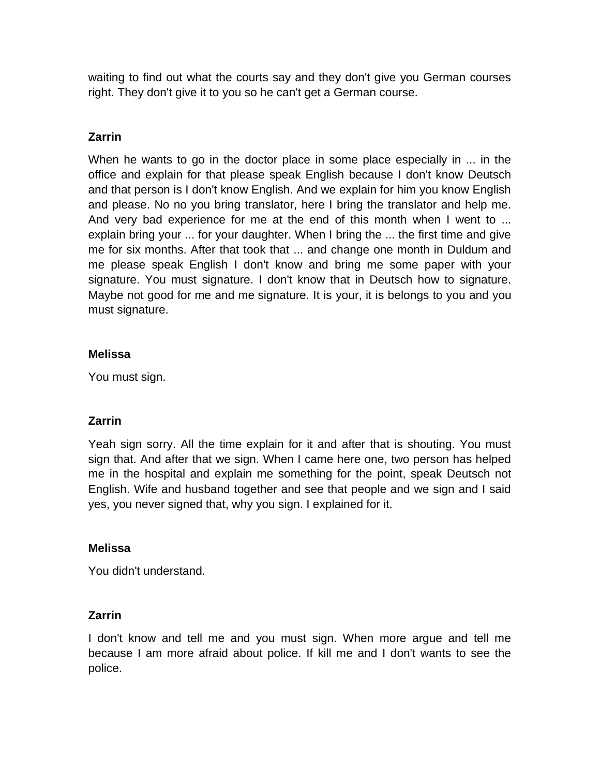waiting to find out what the courts say and they don't give you German courses right. They don't give it to you so he can't get a German course.

## **Zarrin**

When he wants to go in the doctor place in some place especially in ... in the office and explain for that please speak English because I don't know Deutsch and that person is I don't know English. And we explain for him you know English and please. No no you bring translator, here I bring the translator and help me. And very bad experience for me at the end of this month when I went to ... explain bring your ... for your daughter. When I bring the ... the first time and give me for six months. After that took that ... and change one month in Duldum and me please speak English I don't know and bring me some paper with your signature. You must signature. I don't know that in Deutsch how to signature. Maybe not good for me and me signature. It is your, it is belongs to you and you must signature.

## **Melissa**

You must sign.

# **Zarrin**

Yeah sign sorry. All the time explain for it and after that is shouting. You must sign that. And after that we sign. When I came here one, two person has helped me in the hospital and explain me something for the point, speak Deutsch not English. Wife and husband together and see that people and we sign and I said yes, you never signed that, why you sign. I explained for it.

## **Melissa**

You didn't understand.

## **Zarrin**

I don't know and tell me and you must sign. When more argue and tell me because I am more afraid about police. If kill me and I don't wants to see the police.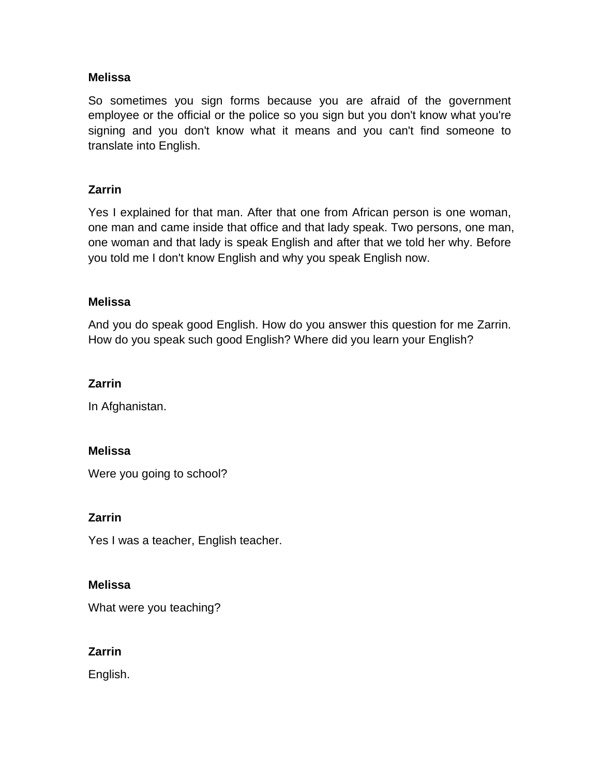So sometimes you sign forms because you are afraid of the government employee or the official or the police so you sign but you don't know what you're signing and you don't know what it means and you can't find someone to translate into English.

## **Zarrin**

Yes I explained for that man. After that one from African person is one woman, one man and came inside that office and that lady speak. Two persons, one man, one woman and that lady is speak English and after that we told her why. Before you told me I don't know English and why you speak English now.

### **Melissa**

And you do speak good English. How do you answer this question for me Zarrin. How do you speak such good English? Where did you learn your English?

## **Zarrin**

In Afghanistan.

### **Melissa**

Were you going to school?

### **Zarrin**

Yes I was a teacher, English teacher.

### **Melissa**

What were you teaching?

## **Zarrin**

English.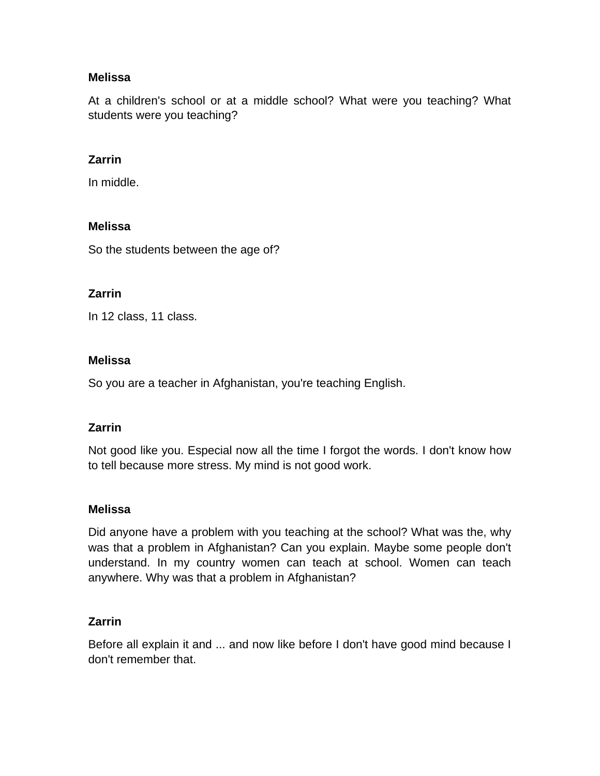At a children's school or at a middle school? What were you teaching? What students were you teaching?

### **Zarrin**

In middle.

### **Melissa**

So the students between the age of?

### **Zarrin**

In 12 class, 11 class.

### **Melissa**

So you are a teacher in Afghanistan, you're teaching English.

## **Zarrin**

Not good like you. Especial now all the time I forgot the words. I don't know how to tell because more stress. My mind is not good work.

### **Melissa**

Did anyone have a problem with you teaching at the school? What was the, why was that a problem in Afghanistan? Can you explain. Maybe some people don't understand. In my country women can teach at school. Women can teach anywhere. Why was that a problem in Afghanistan?

## **Zarrin**

Before all explain it and ... and now like before I don't have good mind because I don't remember that.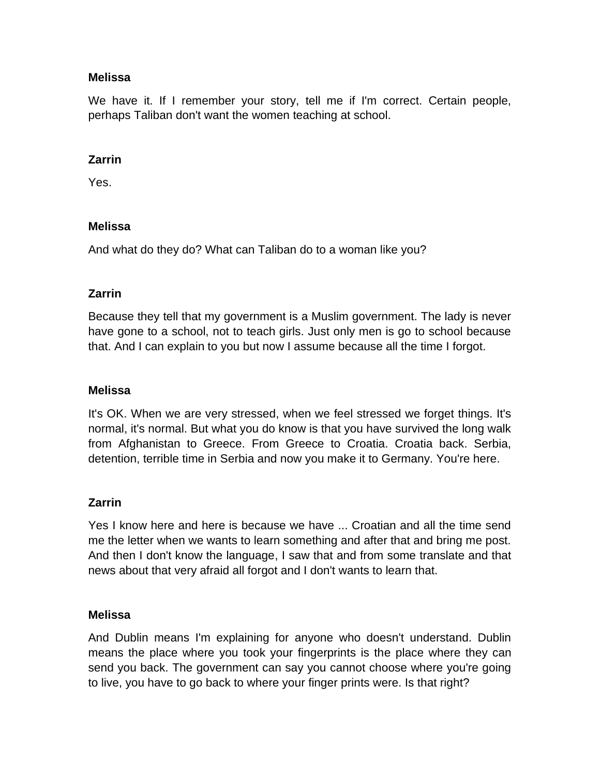We have it. If I remember your story, tell me if I'm correct. Certain people, perhaps Taliban don't want the women teaching at school.

### **Zarrin**

Yes.

### **Melissa**

And what do they do? What can Taliban do to a woman like you?

## **Zarrin**

Because they tell that my government is a Muslim government. The lady is never have gone to a school, not to teach girls. Just only men is go to school because that. And I can explain to you but now I assume because all the time I forgot.

### **Melissa**

It's OK. When we are very stressed, when we feel stressed we forget things. It's normal, it's normal. But what you do know is that you have survived the long walk from Afghanistan to Greece. From Greece to Croatia. Croatia back. Serbia, detention, terrible time in Serbia and now you make it to Germany. You're here.

## **Zarrin**

Yes I know here and here is because we have ... Croatian and all the time send me the letter when we wants to learn something and after that and bring me post. And then I don't know the language, I saw that and from some translate and that news about that very afraid all forgot and I don't wants to learn that.

### **Melissa**

And Dublin means I'm explaining for anyone who doesn't understand. Dublin means the place where you took your fingerprints is the place where they can send you back. The government can say you cannot choose where you're going to live, you have to go back to where your finger prints were. Is that right?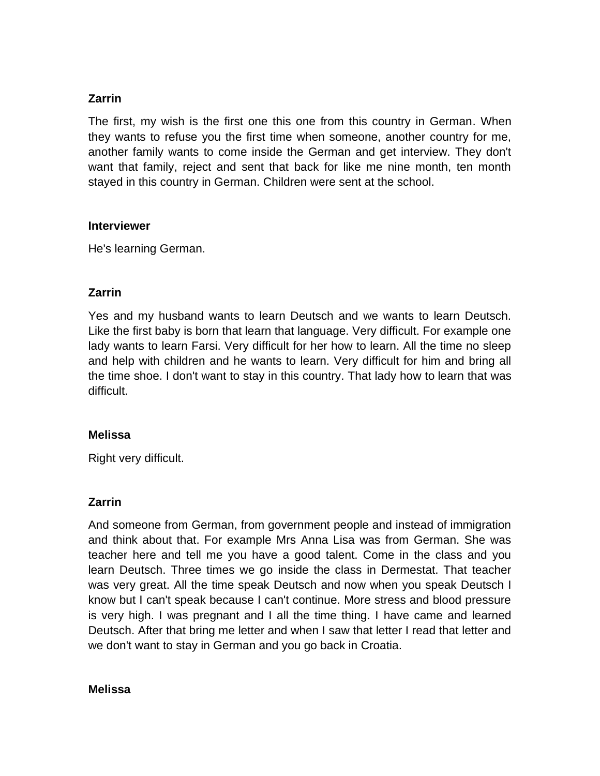The first, my wish is the first one this one from this country in German. When they wants to refuse you the first time when someone, another country for me, another family wants to come inside the German and get interview. They don't want that family, reject and sent that back for like me nine month, ten month stayed in this country in German. Children were sent at the school.

### **Interviewer**

He's learning German.

## **Zarrin**

Yes and my husband wants to learn Deutsch and we wants to learn Deutsch. Like the first baby is born that learn that language. Very difficult. For example one lady wants to learn Farsi. Very difficult for her how to learn. All the time no sleep and help with children and he wants to learn. Very difficult for him and bring all the time shoe. I don't want to stay in this country. That lady how to learn that was difficult.

### **Melissa**

Right very difficult.

## **Zarrin**

And someone from German, from government people and instead of immigration and think about that. For example Mrs Anna Lisa was from German. She was teacher here and tell me you have a good talent. Come in the class and you learn Deutsch. Three times we go inside the class in Dermestat. That teacher was very great. All the time speak Deutsch and now when you speak Deutsch I know but I can't speak because I can't continue. More stress and blood pressure is very high. I was pregnant and I all the time thing. I have came and learned Deutsch. After that bring me letter and when I saw that letter I read that letter and we don't want to stay in German and you go back in Croatia.

#### **Melissa**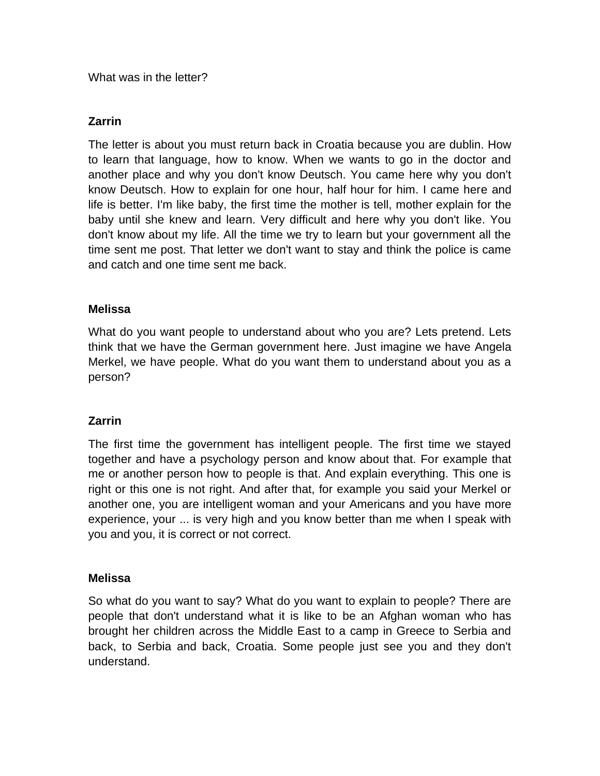What was in the letter?

### **Zarrin**

The letter is about you must return back in Croatia because you are dublin. How to learn that language, how to know. When we wants to go in the doctor and another place and why you don't know Deutsch. You came here why you don't know Deutsch. How to explain for one hour, half hour for him. I came here and life is better. I'm like baby, the first time the mother is tell, mother explain for the baby until she knew and learn. Very difficult and here why you don't like. You don't know about my life. All the time we try to learn but your government all the time sent me post. That letter we don't want to stay and think the police is came and catch and one time sent me back.

### **Melissa**

What do you want people to understand about who you are? Lets pretend. Lets think that we have the German government here. Just imagine we have Angela Merkel, we have people. What do you want them to understand about you as a person?

## **Zarrin**

The first time the government has intelligent people. The first time we stayed together and have a psychology person and know about that. For example that me or another person how to people is that. And explain everything. This one is right or this one is not right. And after that, for example you said your Merkel or another one, you are intelligent woman and your Americans and you have more experience, your ... is very high and you know better than me when I speak with you and you, it is correct or not correct.

### **Melissa**

So what do you want to say? What do you want to explain to people? There are people that don't understand what it is like to be an Afghan woman who has brought her children across the Middle East to a camp in Greece to Serbia and back, to Serbia and back, Croatia. Some people just see you and they don't understand.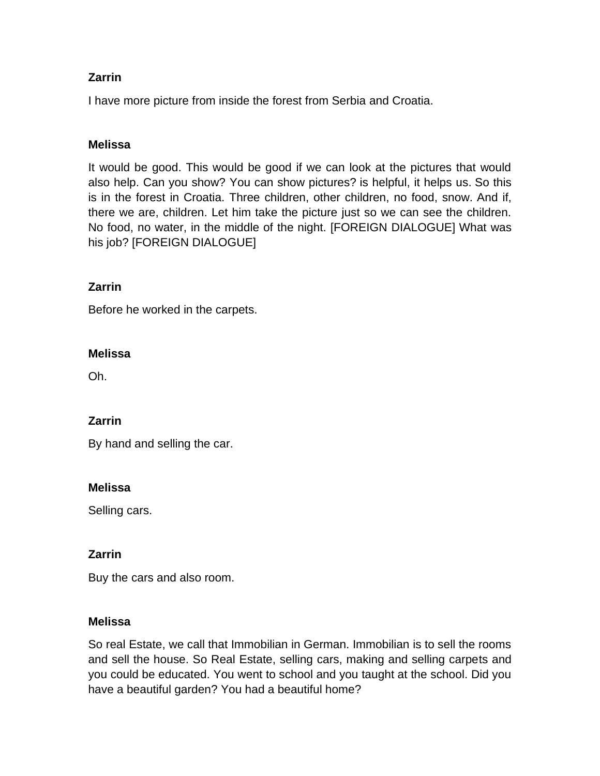I have more picture from inside the forest from Serbia and Croatia.

## **Melissa**

It would be good. This would be good if we can look at the pictures that would also help. Can you show? You can show pictures? is helpful, it helps us. So this is in the forest in Croatia. Three children, other children, no food, snow. And if, there we are, children. Let him take the picture just so we can see the children. No food, no water, in the middle of the night. [FOREIGN DIALOGUE] What was his job? [FOREIGN DIALOGUE]

## **Zarrin**

Before he worked in the carpets.

## **Melissa**

Oh.

## **Zarrin**

By hand and selling the car.

### **Melissa**

Selling cars.

## **Zarrin**

Buy the cars and also room.

### **Melissa**

So real Estate, we call that Immobilian in German. Immobilian is to sell the rooms and sell the house. So Real Estate, selling cars, making and selling carpets and you could be educated. You went to school and you taught at the school. Did you have a beautiful garden? You had a beautiful home?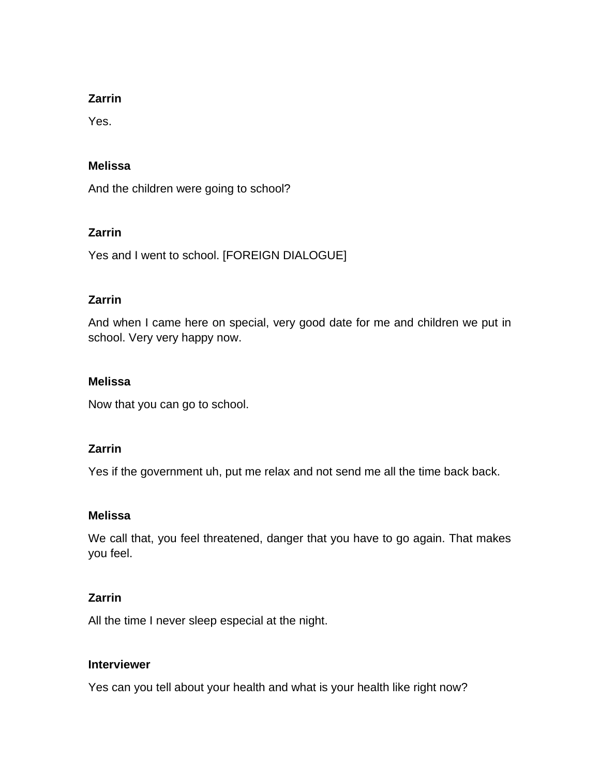Yes.

### **Melissa**

And the children were going to school?

### **Zarrin**

Yes and I went to school. [FOREIGN DIALOGUE]

## **Zarrin**

And when I came here on special, very good date for me and children we put in school. Very very happy now.

### **Melissa**

Now that you can go to school.

## **Zarrin**

Yes if the government uh, put me relax and not send me all the time back back.

### **Melissa**

We call that, you feel threatened, danger that you have to go again. That makes you feel.

## **Zarrin**

All the time I never sleep especial at the night.

### **Interviewer**

Yes can you tell about your health and what is your health like right now?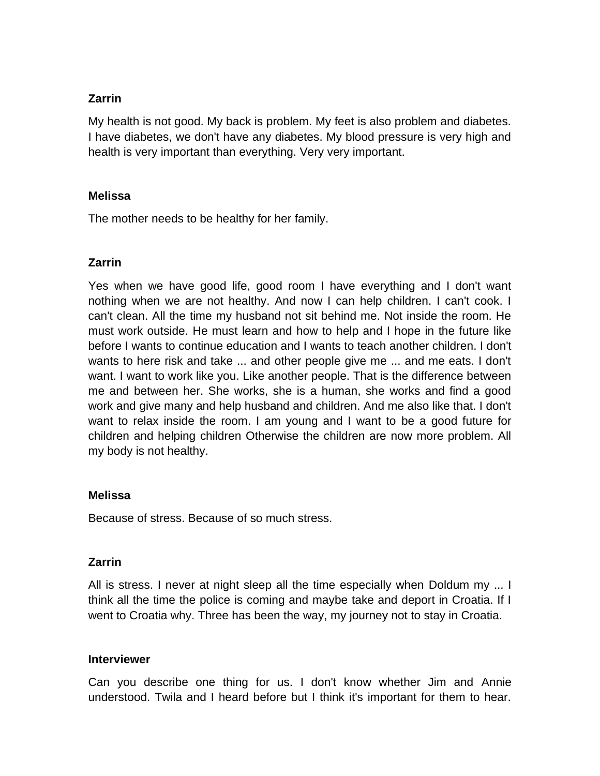My health is not good. My back is problem. My feet is also problem and diabetes. I have diabetes, we don't have any diabetes. My blood pressure is very high and health is very important than everything. Very very important.

### **Melissa**

The mother needs to be healthy for her family.

### **Zarrin**

Yes when we have good life, good room I have everything and I don't want nothing when we are not healthy. And now I can help children. I can't cook. I can't clean. All the time my husband not sit behind me. Not inside the room. He must work outside. He must learn and how to help and I hope in the future like before I wants to continue education and I wants to teach another children. I don't wants to here risk and take ... and other people give me ... and me eats. I don't want. I want to work like you. Like another people. That is the difference between me and between her. She works, she is a human, she works and find a good work and give many and help husband and children. And me also like that. I don't want to relax inside the room. I am young and I want to be a good future for children and helping children Otherwise the children are now more problem. All my body is not healthy.

### **Melissa**

Because of stress. Because of so much stress.

### **Zarrin**

All is stress. I never at night sleep all the time especially when Doldum my ... I think all the time the police is coming and maybe take and deport in Croatia. If I went to Croatia why. Three has been the way, my journey not to stay in Croatia.

### **Interviewer**

Can you describe one thing for us. I don't know whether Jim and Annie understood. Twila and I heard before but I think it's important for them to hear.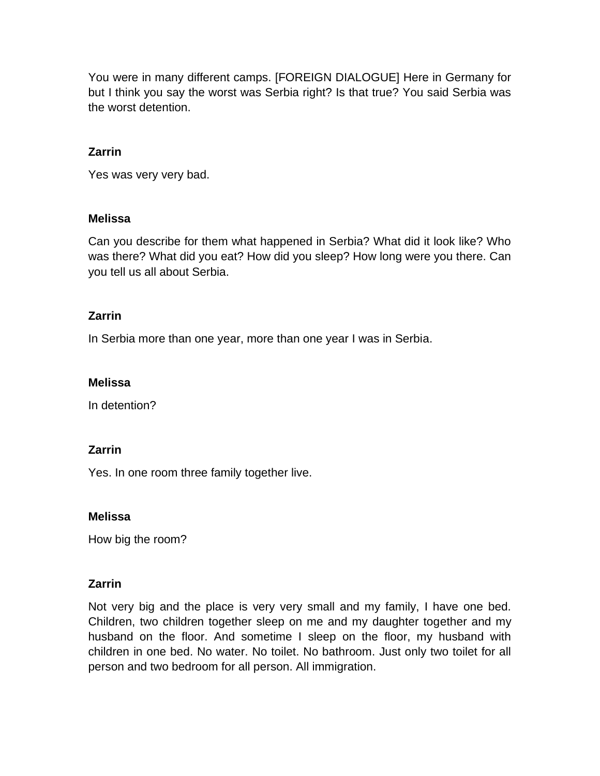You were in many different camps. [FOREIGN DIALOGUE] Here in Germany for but I think you say the worst was Serbia right? Is that true? You said Serbia was the worst detention.

## **Zarrin**

Yes was very very bad.

### **Melissa**

Can you describe for them what happened in Serbia? What did it look like? Who was there? What did you eat? How did you sleep? How long were you there. Can you tell us all about Serbia.

### **Zarrin**

In Serbia more than one year, more than one year I was in Serbia.

### **Melissa**

In detention?

### **Zarrin**

Yes. In one room three family together live.

### **Melissa**

How big the room?

## **Zarrin**

Not very big and the place is very very small and my family, I have one bed. Children, two children together sleep on me and my daughter together and my husband on the floor. And sometime I sleep on the floor, my husband with children in one bed. No water. No toilet. No bathroom. Just only two toilet for all person and two bedroom for all person. All immigration.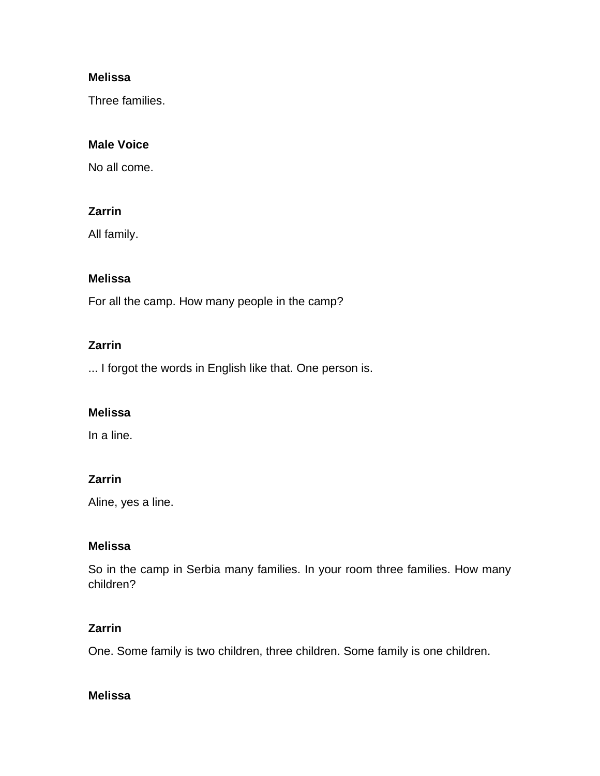Three families.

## **Male Voice**

No all come.

### **Zarrin**

All family.

### **Melissa**

For all the camp. How many people in the camp?

### **Zarrin**

... I forgot the words in English like that. One person is.

### **Melissa**

In a line.

## **Zarrin**

Aline, yes a line.

## **Melissa**

So in the camp in Serbia many families. In your room three families. How many children?

## **Zarrin**

One. Some family is two children, three children. Some family is one children.

### **Melissa**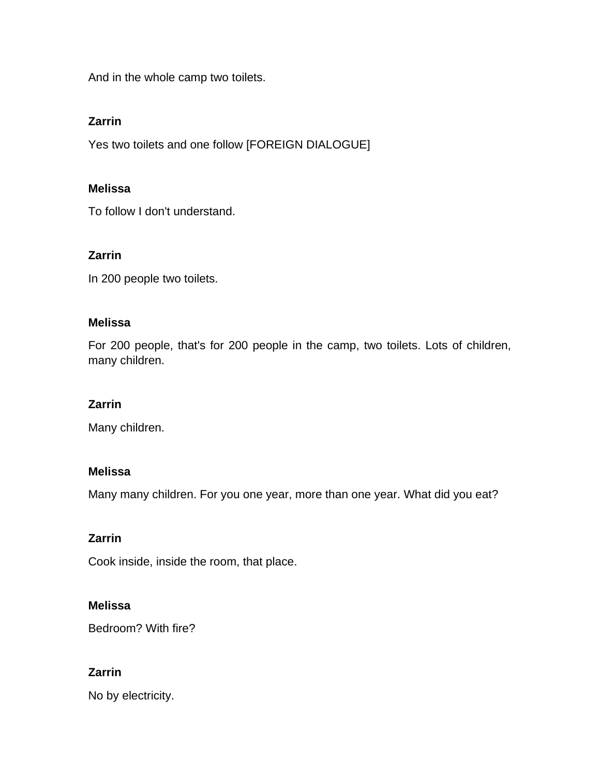And in the whole camp two toilets.

## **Zarrin**

Yes two toilets and one follow [FOREIGN DIALOGUE]

### **Melissa**

To follow I don't understand.

### **Zarrin**

In 200 people two toilets.

### **Melissa**

For 200 people, that's for 200 people in the camp, two toilets. Lots of children, many children.

### **Zarrin**

Many children.

### **Melissa**

Many many children. For you one year, more than one year. What did you eat?

## **Zarrin**

Cook inside, inside the room, that place.

## **Melissa**

Bedroom? With fire?

# **Zarrin**

No by electricity.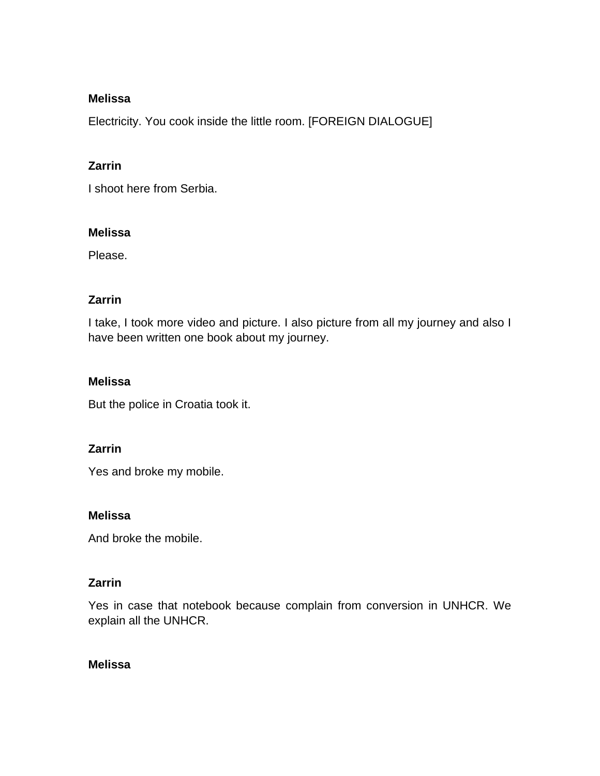Electricity. You cook inside the little room. [FOREIGN DIALOGUE]

## **Zarrin**

I shoot here from Serbia.

### **Melissa**

Please.

## **Zarrin**

I take, I took more video and picture. I also picture from all my journey and also I have been written one book about my journey.

## **Melissa**

But the police in Croatia took it.

## **Zarrin**

Yes and broke my mobile.

### **Melissa**

And broke the mobile.

## **Zarrin**

Yes in case that notebook because complain from conversion in UNHCR. We explain all the UNHCR.

### **Melissa**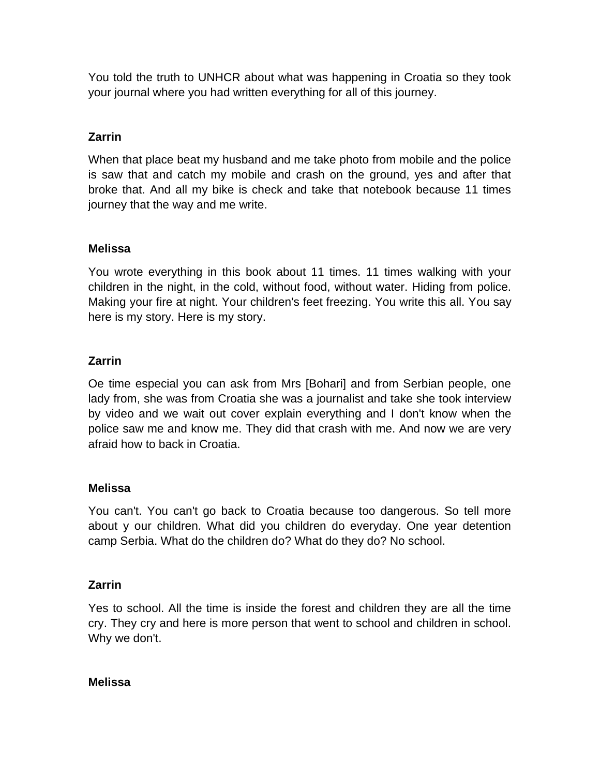You told the truth to UNHCR about what was happening in Croatia so they took your journal where you had written everything for all of this journey.

# **Zarrin**

When that place beat my husband and me take photo from mobile and the police is saw that and catch my mobile and crash on the ground, yes and after that broke that. And all my bike is check and take that notebook because 11 times journey that the way and me write.

## **Melissa**

You wrote everything in this book about 11 times. 11 times walking with your children in the night, in the cold, without food, without water. Hiding from police. Making your fire at night. Your children's feet freezing. You write this all. You say here is my story. Here is my story.

## **Zarrin**

Oe time especial you can ask from Mrs [Bohari] and from Serbian people, one lady from, she was from Croatia she was a journalist and take she took interview by video and we wait out cover explain everything and I don't know when the police saw me and know me. They did that crash with me. And now we are very afraid how to back in Croatia.

## **Melissa**

You can't. You can't go back to Croatia because too dangerous. So tell more about y our children. What did you children do everyday. One year detention camp Serbia. What do the children do? What do they do? No school.

## **Zarrin**

Yes to school. All the time is inside the forest and children they are all the time cry. They cry and here is more person that went to school and children in school. Why we don't.

### **Melissa**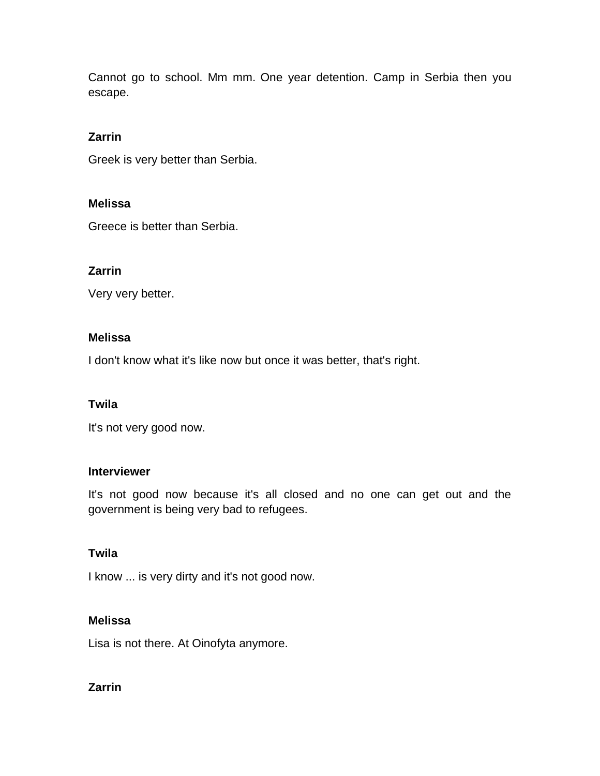Cannot go to school. Mm mm. One year detention. Camp in Serbia then you escape.

### **Zarrin**

Greek is very better than Serbia.

### **Melissa**

Greece is better than Serbia.

### **Zarrin**

Very very better.

#### **Melissa**

I don't know what it's like now but once it was better, that's right.

#### **Twila**

It's not very good now.

#### **Interviewer**

It's not good now because it's all closed and no one can get out and the government is being very bad to refugees.

### **Twila**

I know ... is very dirty and it's not good now.

### **Melissa**

Lisa is not there. At Oinofyta anymore.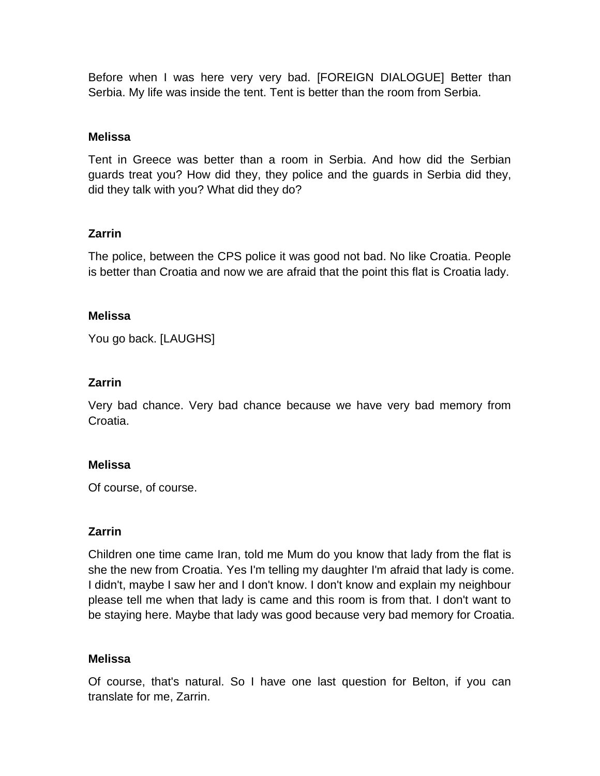Before when I was here very very bad. [FOREIGN DIALOGUE] Better than Serbia. My life was inside the tent. Tent is better than the room from Serbia.

### **Melissa**

Tent in Greece was better than a room in Serbia. And how did the Serbian guards treat you? How did they, they police and the guards in Serbia did they, did they talk with you? What did they do?

## **Zarrin**

The police, between the CPS police it was good not bad. No like Croatia. People is better than Croatia and now we are afraid that the point this flat is Croatia lady.

### **Melissa**

You go back. [LAUGHS]

## **Zarrin**

Very bad chance. Very bad chance because we have very bad memory from Croatia.

### **Melissa**

Of course, of course.

### **Zarrin**

Children one time came Iran, told me Mum do you know that lady from the flat is she the new from Croatia. Yes I'm telling my daughter I'm afraid that lady is come. I didn't, maybe I saw her and I don't know. I don't know and explain my neighbour please tell me when that lady is came and this room is from that. I don't want to be staying here. Maybe that lady was good because very bad memory for Croatia.

### **Melissa**

Of course, that's natural. So I have one last question for Belton, if you can translate for me, Zarrin.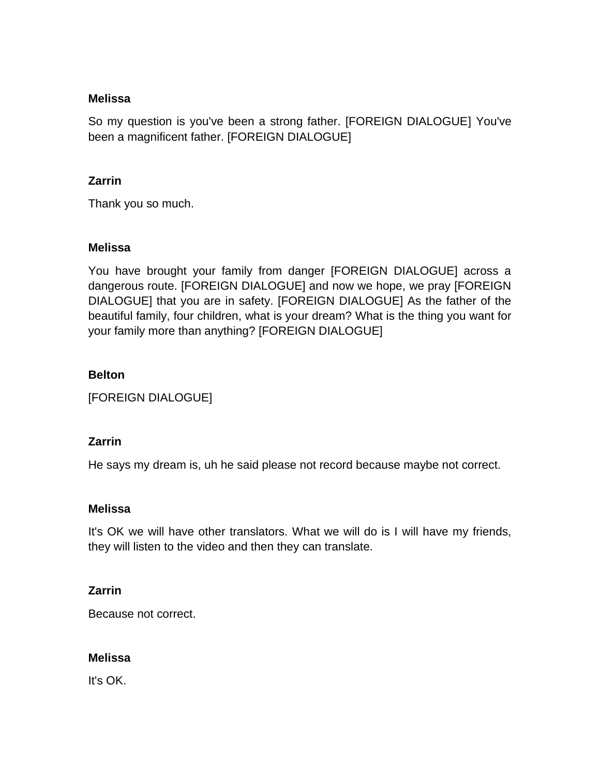So my question is you've been a strong father. [FOREIGN DIALOGUE] You've been a magnificent father. [FOREIGN DIALOGUE]

### **Zarrin**

Thank you so much.

### **Melissa**

You have brought your family from danger [FOREIGN DIALOGUE] across a dangerous route. [FOREIGN DIALOGUE] and now we hope, we pray [FOREIGN DIALOGUE] that you are in safety. [FOREIGN DIALOGUE] As the father of the beautiful family, four children, what is your dream? What is the thing you want for your family more than anything? [FOREIGN DIALOGUE]

### **Belton**

[FOREIGN DIALOGUE]

### **Zarrin**

He says my dream is, uh he said please not record because maybe not correct.

### **Melissa**

It's OK we will have other translators. What we will do is I will have my friends, they will listen to the video and then they can translate.

### **Zarrin**

Because not correct.

### **Melissa**

It's OK.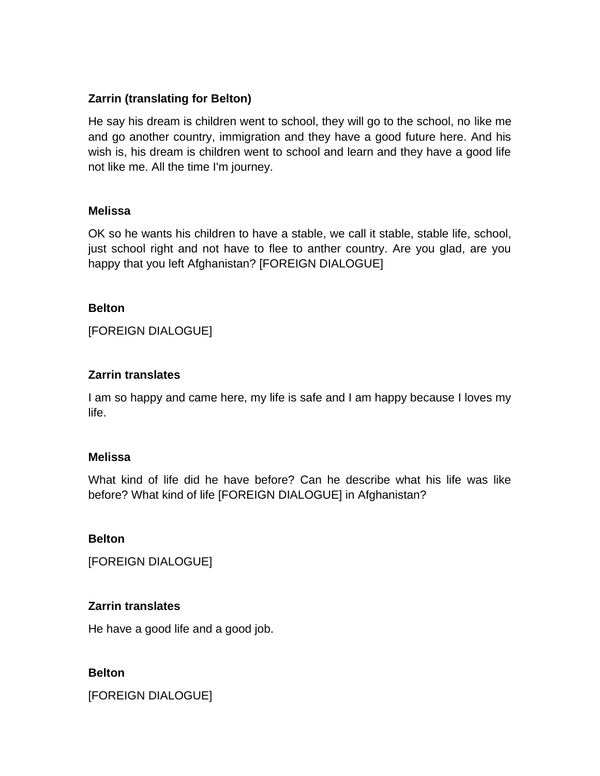## **Zarrin (translating for Belton)**

He say his dream is children went to school, they will go to the school, no like me and go another country, immigration and they have a good future here. And his wish is, his dream is children went to school and learn and they have a good life not like me. All the time I'm journey.

### **Melissa**

OK so he wants his children to have a stable, we call it stable, stable life, school, just school right and not have to flee to anther country. Are you glad, are you happy that you left Afghanistan? [FOREIGN DIALOGUE]

#### **Belton**

[FOREIGN DIALOGUE]

### **Zarrin translates**

I am so happy and came here, my life is safe and I am happy because I loves my life.

### **Melissa**

What kind of life did he have before? Can he describe what his life was like before? What kind of life [FOREIGN DIALOGUE] in Afghanistan?

### **Belton**

[FOREIGN DIALOGUE]

### **Zarrin translates**

He have a good life and a good job.

### **Belton**

[FOREIGN DIALOGUE]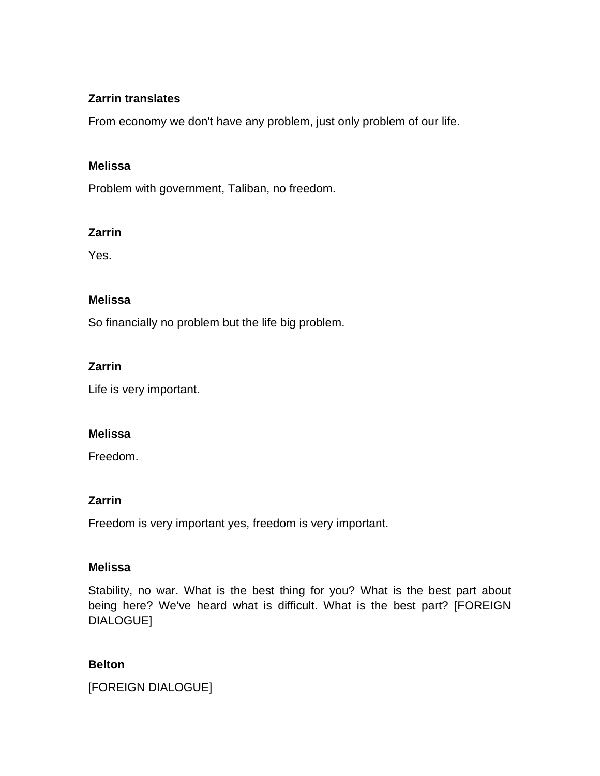## **Zarrin translates**

From economy we don't have any problem, just only problem of our life.

### **Melissa**

Problem with government, Taliban, no freedom.

### **Zarrin**

Yes.

### **Melissa**

So financially no problem but the life big problem.

### **Zarrin**

Life is very important.

### **Melissa**

Freedom.

### **Zarrin**

Freedom is very important yes, freedom is very important.

### **Melissa**

Stability, no war. What is the best thing for you? What is the best part about being here? We've heard what is difficult. What is the best part? [FOREIGN DIALOGUE]

### **Belton**

[FOREIGN DIALOGUE]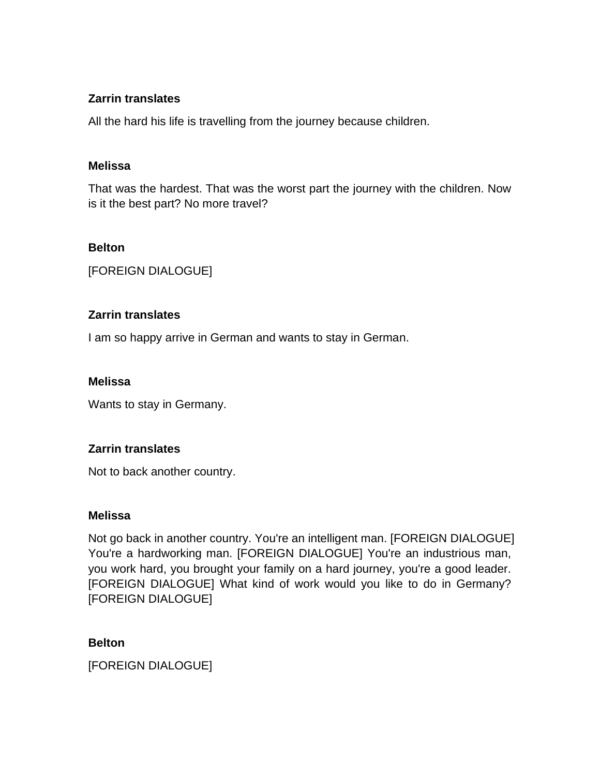## **Zarrin translates**

All the hard his life is travelling from the journey because children.

### **Melissa**

That was the hardest. That was the worst part the journey with the children. Now is it the best part? No more travel?

### **Belton**

[FOREIGN DIALOGUE]

## **Zarrin translates**

I am so happy arrive in German and wants to stay in German.

## **Melissa**

Wants to stay in Germany.

## **Zarrin translates**

Not to back another country.

## **Melissa**

Not go back in another country. You're an intelligent man. [FOREIGN DIALOGUE] You're a hardworking man. [FOREIGN DIALOGUE] You're an industrious man, you work hard, you brought your family on a hard journey, you're a good leader. [FOREIGN DIALOGUE] What kind of work would you like to do in Germany? [FOREIGN DIALOGUE]

## **Belton**

[FOREIGN DIALOGUE]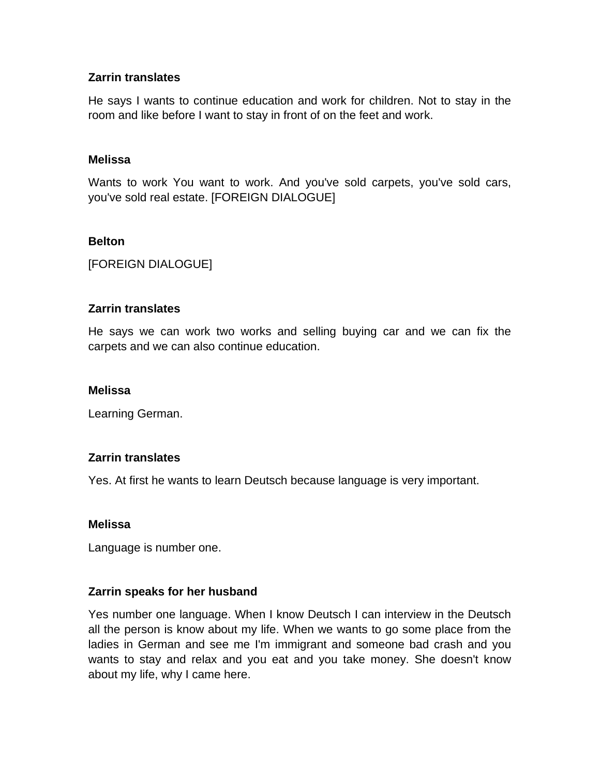### **Zarrin translates**

He says I wants to continue education and work for children. Not to stay in the room and like before I want to stay in front of on the feet and work.

### **Melissa**

Wants to work You want to work. And you've sold carpets, you've sold cars, you've sold real estate. [FOREIGN DIALOGUE]

### **Belton**

[FOREIGN DIALOGUE]

### **Zarrin translates**

He says we can work two works and selling buying car and we can fix the carpets and we can also continue education.

#### **Melissa**

Learning German.

### **Zarrin translates**

Yes. At first he wants to learn Deutsch because language is very important.

### **Melissa**

Language is number one.

### **Zarrin speaks for her husband**

Yes number one language. When I know Deutsch I can interview in the Deutsch all the person is know about my life. When we wants to go some place from the ladies in German and see me I'm immigrant and someone bad crash and you wants to stay and relax and you eat and you take money. She doesn't know about my life, why I came here.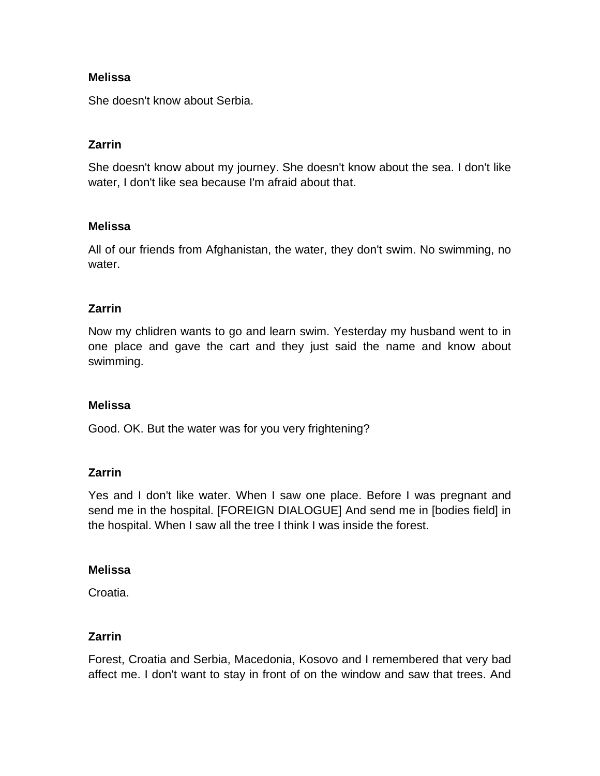She doesn't know about Serbia.

## **Zarrin**

She doesn't know about my journey. She doesn't know about the sea. I don't like water, I don't like sea because I'm afraid about that.

### **Melissa**

All of our friends from Afghanistan, the water, they don't swim. No swimming, no water.

### **Zarrin**

Now my chlidren wants to go and learn swim. Yesterday my husband went to in one place and gave the cart and they just said the name and know about swimming.

### **Melissa**

Good. OK. But the water was for you very frightening?

### **Zarrin**

Yes and I don't like water. When I saw one place. Before I was pregnant and send me in the hospital. [FOREIGN DIALOGUE] And send me in [bodies field] in the hospital. When I saw all the tree I think I was inside the forest.

### **Melissa**

Croatia.

## **Zarrin**

Forest, Croatia and Serbia, Macedonia, Kosovo and I remembered that very bad affect me. I don't want to stay in front of on the window and saw that trees. And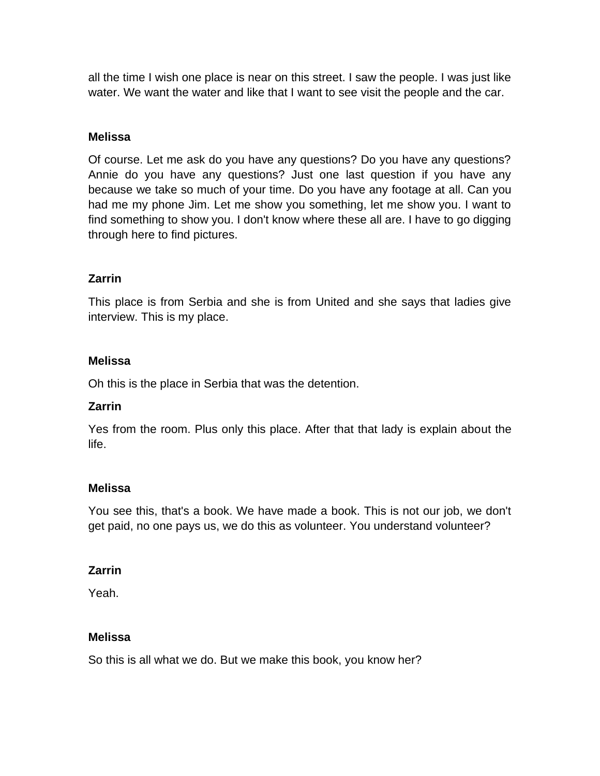all the time I wish one place is near on this street. I saw the people. I was just like water. We want the water and like that I want to see visit the people and the car.

### **Melissa**

Of course. Let me ask do you have any questions? Do you have any questions? Annie do you have any questions? Just one last question if you have any because we take so much of your time. Do you have any footage at all. Can you had me my phone Jim. Let me show you something, let me show you. I want to find something to show you. I don't know where these all are. I have to go digging through here to find pictures.

## **Zarrin**

This place is from Serbia and she is from United and she says that ladies give interview. This is my place.

### **Melissa**

Oh this is the place in Serbia that was the detention.

## **Zarrin**

Yes from the room. Plus only this place. After that that lady is explain about the life.

### **Melissa**

You see this, that's a book. We have made a book. This is not our job, we don't get paid, no one pays us, we do this as volunteer. You understand volunteer?

### **Zarrin**

Yeah.

## **Melissa**

So this is all what we do. But we make this book, you know her?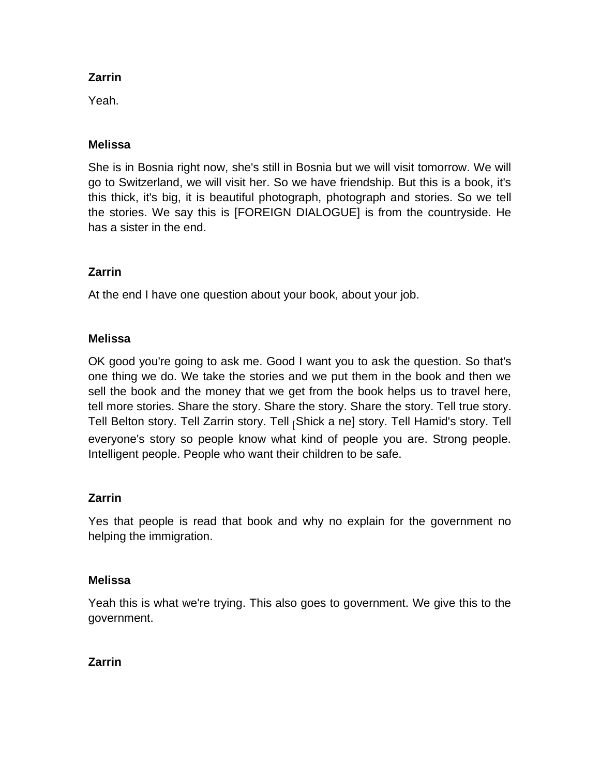Yeah.

## **Melissa**

She is in Bosnia right now, she's still in Bosnia but we will visit tomorrow. We will go to Switzerland, we will visit her. So we have friendship. But this is a book, it's this thick, it's big, it is beautiful photograph, photograph and stories. So we tell the stories. We say this is [FOREIGN DIALOGUE] is from the countryside. He has a sister in the end.

## **Zarrin**

At the end I have one question about your book, about your job.

## **Melissa**

OK good you're going to ask me. Good I want you to ask the question. So that's one thing we do. We take the stories and we put them in the book and then we sell the book and the money that we get from the book helps us to travel here, tell more stories. Share the story. Share the story. Share the story. Tell true story. Tell Belton story. Tell Zarrin story. Tell [Shick a ne] story. Tell Hamid's story. Tell everyone's story so people know what kind of people you are. Strong people. Intelligent people. People who want their children to be safe.

## **Zarrin**

Yes that people is read that book and why no explain for the government no helping the immigration.

## **Melissa**

Yeah this is what we're trying. This also goes to government. We give this to the government.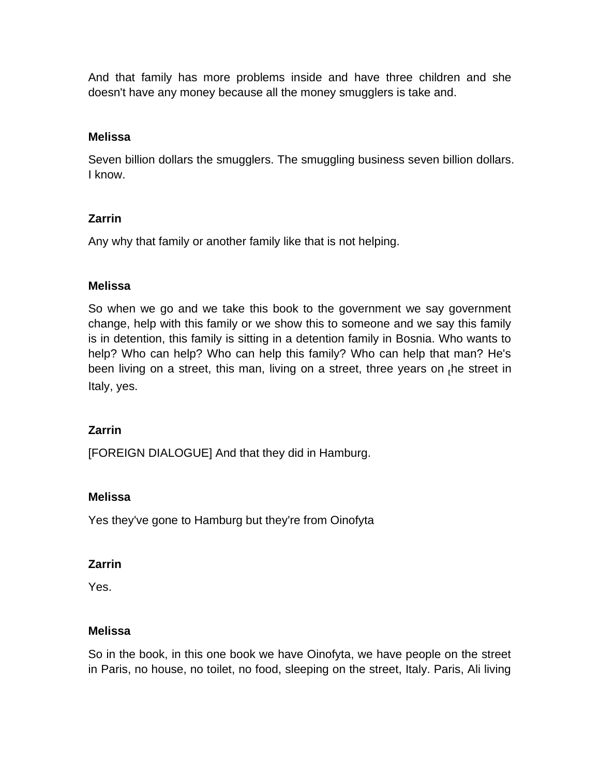And that family has more problems inside and have three children and she doesn't have any money because all the money smugglers is take and.

## **Melissa**

Seven billion dollars the smugglers. The smuggling business seven billion dollars. I know.

## **Zarrin**

Any why that family or another family like that is not helping.

### **Melissa**

So when we go and we take this book to the government we say government change, help with this family or we show this to someone and we say this family is in detention, this family is sitting in a detention family in Bosnia. Who wants to help? Who can help? Who can help this family? Who can help that man? He's been living on a street, this man, living on a street, three years on  $_{\rm f}$ he street in Italy, yes.

## **Zarrin**

[FOREIGN DIALOGUE] And that they did in Hamburg.

### **Melissa**

Yes they've gone to Hamburg but they're from Oinofyta

### **Zarrin**

Yes.

### **Melissa**

So in the book, in this one book we have Oinofyta, we have people on the street in Paris, no house, no toilet, no food, sleeping on the street, Italy. Paris, Ali living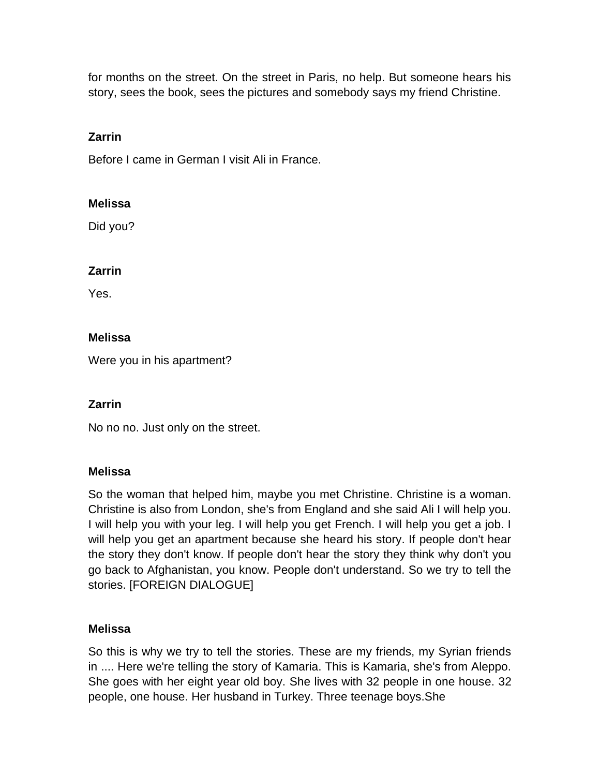for months on the street. On the street in Paris, no help. But someone hears his story, sees the book, sees the pictures and somebody says my friend Christine.

## **Zarrin**

Before I came in German I visit Ali in France.

### **Melissa**

Did you?

### **Zarrin**

Yes.

## **Melissa**

Were you in his apartment?

## **Zarrin**

No no no. Just only on the street.

### **Melissa**

So the woman that helped him, maybe you met Christine. Christine is a woman. Christine is also from London, she's from England and she said Ali I will help you. I will help you with your leg. I will help you get French. I will help you get a job. I will help you get an apartment because she heard his story. If people don't hear the story they don't know. If people don't hear the story they think why don't you go back to Afghanistan, you know. People don't understand. So we try to tell the stories. [FOREIGN DIALOGUE]

## **Melissa**

So this is why we try to tell the stories. These are my friends, my Syrian friends in .... Here we're telling the story of Kamaria. This is Kamaria, she's from Aleppo. She goes with her eight year old boy. She lives with 32 people in one house. 32 people, one house. Her husband in Turkey. Three teenage boys.She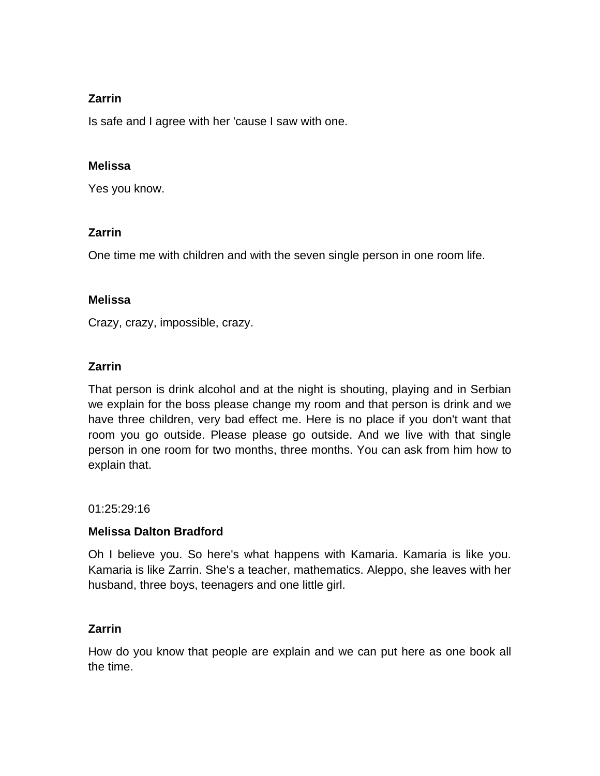Is safe and I agree with her 'cause I saw with one.

## **Melissa**

Yes you know.

## **Zarrin**

One time me with children and with the seven single person in one room life.

## **Melissa**

Crazy, crazy, impossible, crazy.

## **Zarrin**

That person is drink alcohol and at the night is shouting, playing and in Serbian we explain for the boss please change my room and that person is drink and we have three children, very bad effect me. Here is no place if you don't want that room you go outside. Please please go outside. And we live with that single person in one room for two months, three months. You can ask from him how to explain that.

01:25:29:16

## **Melissa Dalton Bradford**

Oh I believe you. So here's what happens with Kamaria. Kamaria is like you. Kamaria is like Zarrin. She's a teacher, mathematics. Aleppo, she leaves with her husband, three boys, teenagers and one little girl.

## **Zarrin**

How do you know that people are explain and we can put here as one book all the time.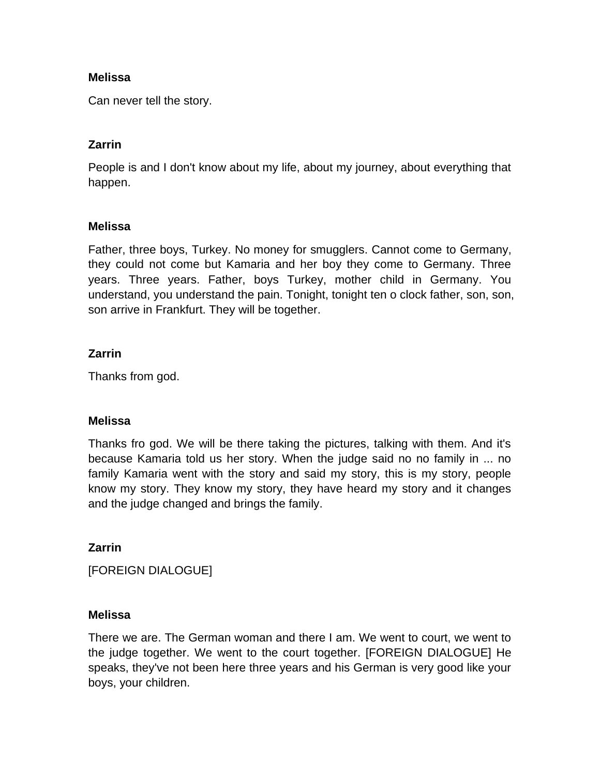Can never tell the story.

## **Zarrin**

People is and I don't know about my life, about my journey, about everything that happen.

### **Melissa**

Father, three boys, Turkey. No money for smugglers. Cannot come to Germany, they could not come but Kamaria and her boy they come to Germany. Three years. Three years. Father, boys Turkey, mother child in Germany. You understand, you understand the pain. Tonight, tonight ten o clock father, son, son, son arrive in Frankfurt. They will be together.

## **Zarrin**

Thanks from god.

### **Melissa**

Thanks fro god. We will be there taking the pictures, talking with them. And it's because Kamaria told us her story. When the judge said no no family in ... no family Kamaria went with the story and said my story, this is my story, people know my story. They know my story, they have heard my story and it changes and the judge changed and brings the family.

## **Zarrin**

[FOREIGN DIALOGUE]

### **Melissa**

There we are. The German woman and there I am. We went to court, we went to the judge together. We went to the court together. [FOREIGN DIALOGUE] He speaks, they've not been here three years and his German is very good like your boys, your children.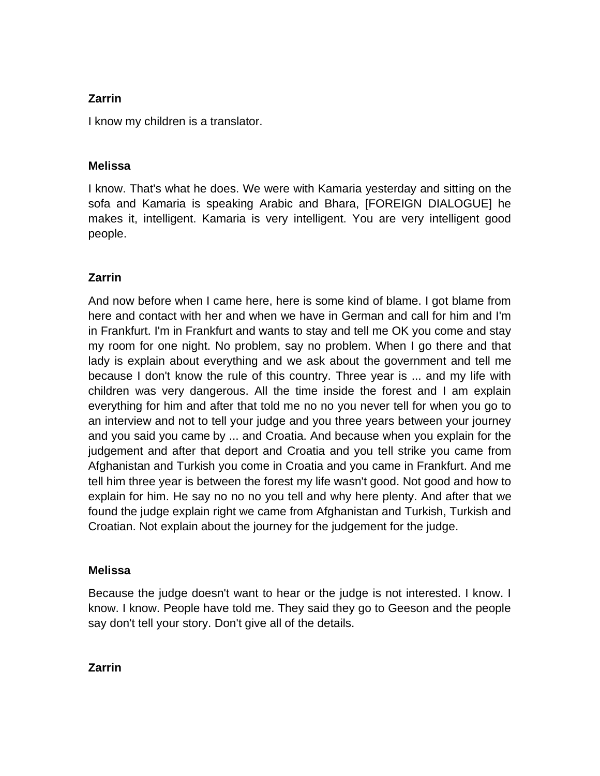I know my children is a translator.

## **Melissa**

I know. That's what he does. We were with Kamaria yesterday and sitting on the sofa and Kamaria is speaking Arabic and Bhara, [FOREIGN DIALOGUE] he makes it, intelligent. Kamaria is very intelligent. You are very intelligent good people.

## **Zarrin**

And now before when I came here, here is some kind of blame. I got blame from here and contact with her and when we have in German and call for him and I'm in Frankfurt. I'm in Frankfurt and wants to stay and tell me OK you come and stay my room for one night. No problem, say no problem. When I go there and that lady is explain about everything and we ask about the government and tell me because I don't know the rule of this country. Three year is ... and my life with children was very dangerous. All the time inside the forest and I am explain everything for him and after that told me no no you never tell for when you go to an interview and not to tell your judge and you three years between your journey and you said you came by ... and Croatia. And because when you explain for the judgement and after that deport and Croatia and you tell strike you came from Afghanistan and Turkish you come in Croatia and you came in Frankfurt. And me tell him three year is between the forest my life wasn't good. Not good and how to explain for him. He say no no no you tell and why here plenty. And after that we found the judge explain right we came from Afghanistan and Turkish, Turkish and Croatian. Not explain about the journey for the judgement for the judge.

### **Melissa**

Because the judge doesn't want to hear or the judge is not interested. I know. I know. I know. People have told me. They said they go to Geeson and the people say don't tell your story. Don't give all of the details.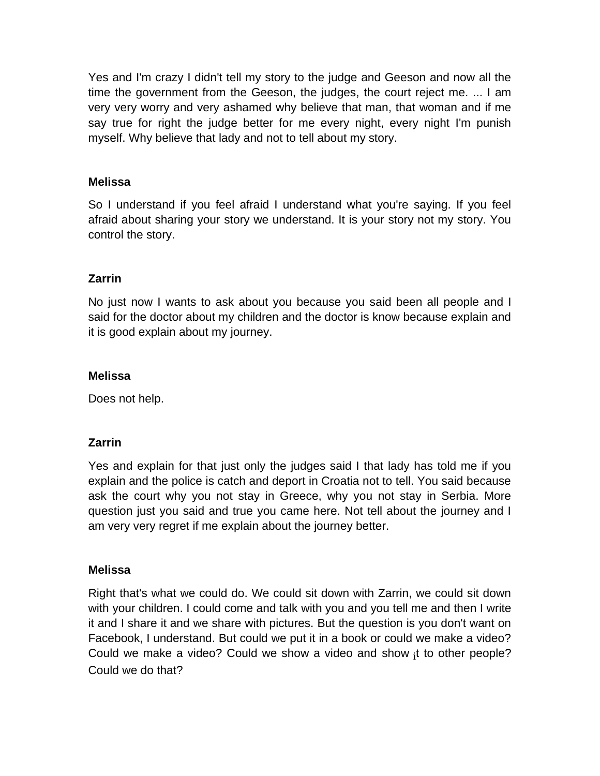Yes and I'm crazy I didn't tell my story to the judge and Geeson and now all the time the government from the Geeson, the judges, the court reject me. ... I am very very worry and very ashamed why believe that man, that woman and if me say true for right the judge better for me every night, every night I'm punish myself. Why believe that lady and not to tell about my story.

### **Melissa**

So I understand if you feel afraid I understand what you're saying. If you feel afraid about sharing your story we understand. It is your story not my story. You control the story.

## **Zarrin**

No just now I wants to ask about you because you said been all people and I said for the doctor about my children and the doctor is know because explain and it is good explain about my journey.

### **Melissa**

Does not help.

### **Zarrin**

Yes and explain for that just only the judges said I that lady has told me if you explain and the police is catch and deport in Croatia not to tell. You said because ask the court why you not stay in Greece, why you not stay in Serbia. More question just you said and true you came here. Not tell about the journey and I am very very regret if me explain about the journey better.

### **Melissa**

Right that's what we could do. We could sit down with Zarrin, we could sit down with your children. I could come and talk with you and you tell me and then I write it and I share it and we share with pictures. But the question is you don't want on Facebook, I understand. But could we put it in a book or could we make a video? Could we make a video? Could we show a video and show  ${}_{i}$ t to other people? Could we do that?